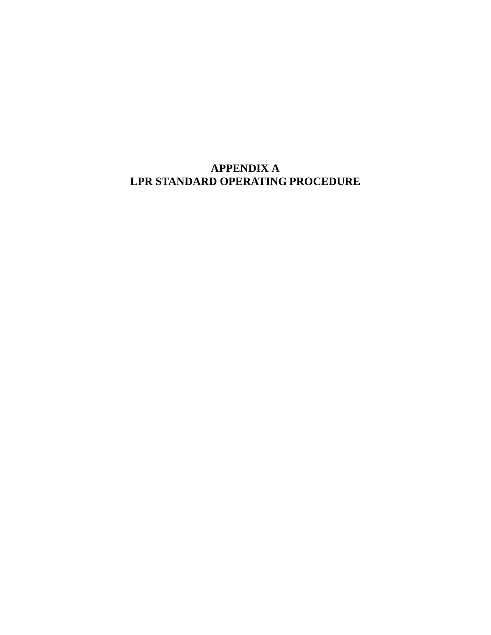**APPENDIX A LPR STANDARD OPERATING PROCEDURE**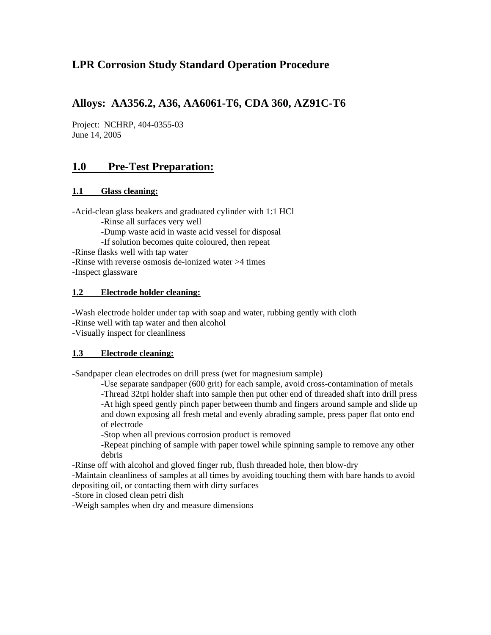# **LPR Corrosion Study Standard Operation Procedure**

## **Alloys: AA356.2, A36, AA6061-T6, CDA 360, AZ91C-T6**

Project: NCHRP, 404-0355-03 June 14, 2005

## **1.0 Pre-Test Preparation:**

#### **1.1 Glass cleaning:**

-Acid-clean glass beakers and graduated cylinder with 1:1 HCl -Rinse all surfaces very well -Dump waste acid in waste acid vessel for disposal -If solution becomes quite coloured, then repeat -Rinse flasks well with tap water -Rinse with reverse osmosis de-ionized water >4 times -Inspect glassware

#### **1.2 Electrode holder cleaning:**

-Wash electrode holder under tap with soap and water, rubbing gently with cloth -Rinse well with tap water and then alcohol

-Visually inspect for cleanliness

#### **1.3 Electrode cleaning:**

-Sandpaper clean electrodes on drill press (wet for magnesium sample)

 -Use separate sandpaper (600 grit) for each sample, avoid cross-contamination of metals -Thread 32tpi holder shaft into sample then put other end of threaded shaft into drill press -At high speed gently pinch paper between thumb and fingers around sample and slide up and down exposing all fresh metal and evenly abrading sample, press paper flat onto end of electrode

-Stop when all previous corrosion product is removed

 -Repeat pinching of sample with paper towel while spinning sample to remove any other debris

-Rinse off with alcohol and gloved finger rub, flush threaded hole, then blow-dry

-Maintain cleanliness of samples at all times by avoiding touching them with bare hands to avoid depositing oil, or contacting them with dirty surfaces

-Store in closed clean petri dish

-Weigh samples when dry and measure dimensions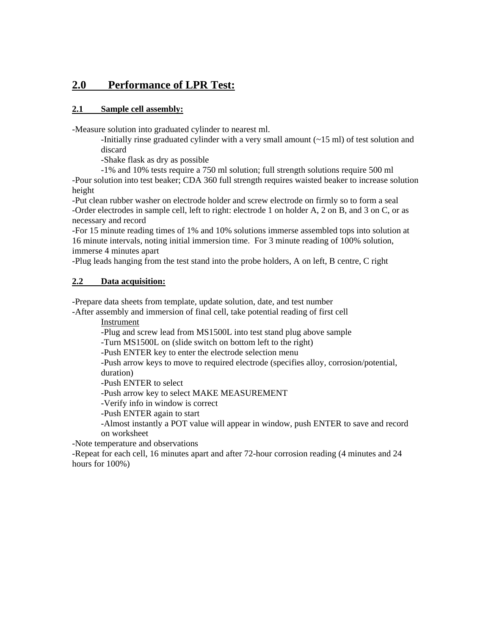## **2.0 Performance of LPR Test:**

### **2.1 Sample cell assembly:**

-Measure solution into graduated cylinder to nearest ml.

-Initially rinse graduated cylinder with a very small amount  $(\sim 15 \text{ ml})$  of test solution and discard

-Shake flask as dry as possible

 -1% and 10% tests require a 750 ml solution; full strength solutions require 500 ml -Pour solution into test beaker; CDA 360 full strength requires waisted beaker to increase solution height

-Put clean rubber washer on electrode holder and screw electrode on firmly so to form a seal -Order electrodes in sample cell, left to right: electrode 1 on holder A, 2 on B, and 3 on C, or as necessary and record

-For 15 minute reading times of 1% and 10% solutions immerse assembled tops into solution at 16 minute intervals, noting initial immersion time. For 3 minute reading of 100% solution, immerse 4 minutes apart

-Plug leads hanging from the test stand into the probe holders, A on left, B centre, C right

### **2.2 Data acquisition:**

-Prepare data sheets from template, update solution, date, and test number

-After assembly and immersion of final cell, take potential reading of first cell Instrument

-Plug and screw lead from MS1500L into test stand plug above sample

-Turn MS1500L on (slide switch on bottom left to the right)

-Push ENTER key to enter the electrode selection menu

 -Push arrow keys to move to required electrode (specifies alloy, corrosion/potential, duration)

-Push ENTER to select

-Push arrow key to select MAKE MEASUREMENT

-Verify info in window is correct

-Push ENTER again to start

-Almost instantly a POT value will appear in window, push ENTER to save and record on worksheet

-Note temperature and observations

-Repeat for each cell, 16 minutes apart and after 72-hour corrosion reading (4 minutes and 24 hours for 100%)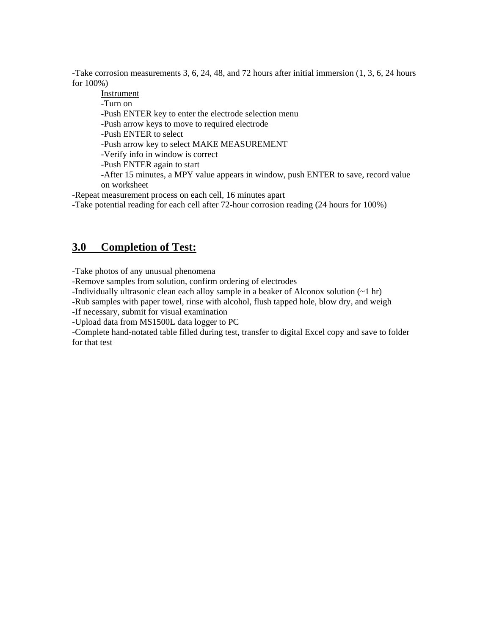-Take corrosion measurements 3, 6, 24, 48, and 72 hours after initial immersion (1, 3, 6, 24 hours for 100%)

Instrument -Turn on -Push ENTER key to enter the electrode selection menu -Push arrow keys to move to required electrode -Push ENTER to select -Push arrow key to select MAKE MEASUREMENT -Verify info in window is correct -Push ENTER again to start -After 15 minutes, a MPY value appears in window, push ENTER to save, record value on worksheet

-Repeat measurement process on each cell, 16 minutes apart

-Take potential reading for each cell after 72-hour corrosion reading (24 hours for 100%)

## **3.0 Completion of Test:**

-Take photos of any unusual phenomena

-Remove samples from solution, confirm ordering of electrodes

-Individually ultrasonic clean each alloy sample in a beaker of Alconox solution (~1 hr)

-Rub samples with paper towel, rinse with alcohol, flush tapped hole, blow dry, and weigh

-If necessary, submit for visual examination

-Upload data from MS1500L data logger to PC

-Complete hand-notated table filled during test, transfer to digital Excel copy and save to folder for that test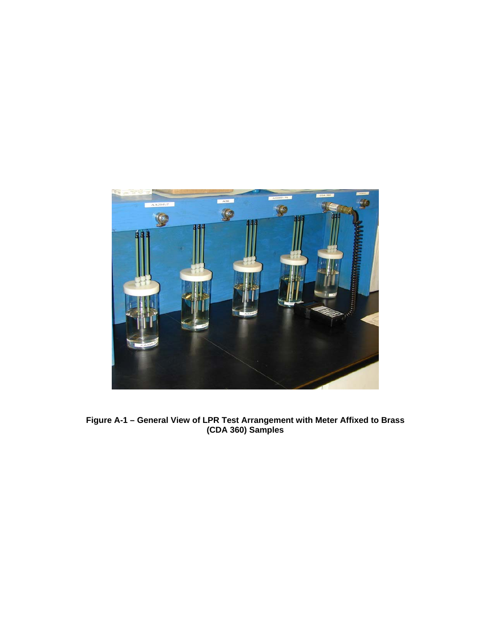

**Figure A-1 – General View of LPR Test Arrangement with Meter Affixed to Brass (CDA 360) Samples**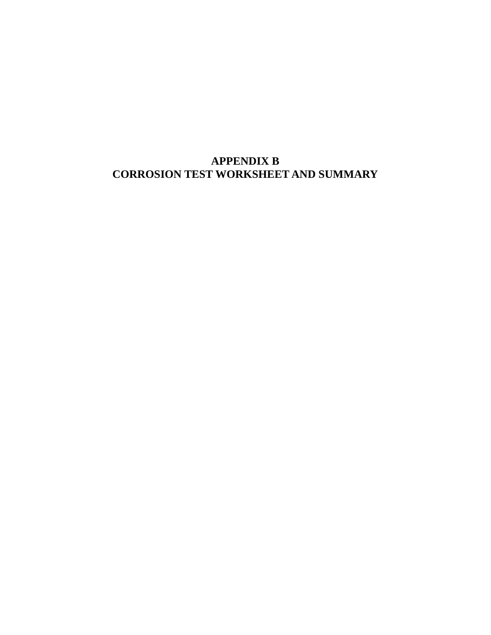# **APPENDIX B CORROSION TEST WORKSHEET AND SUMMARY**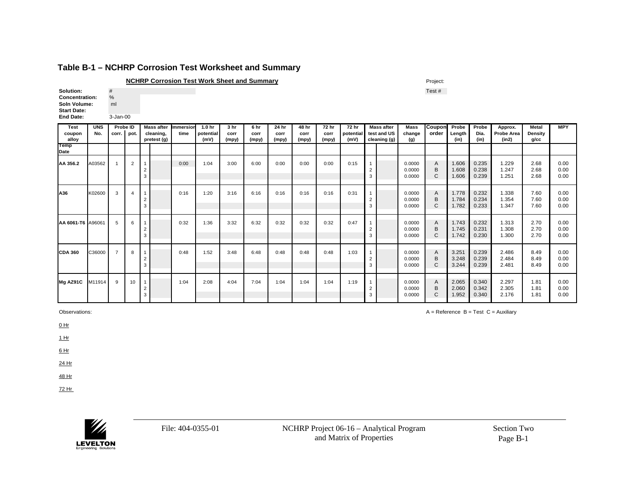### **Table B-1 – NCHRP Corrosion Test Worksheet and Summary**

#### **NCHRP Corrosion Test Work Sheet and Summary Project:**

| Test<br><b>IINS</b>                | Probe ID     | Mass after <b>Immersion</b> | <b>ገhr</b><br>1.0 hr | 6 hr | 48 hr<br>24 hr | 72 hr | 72 hr | Mass after | Mass | <b>ICoun</b> |
|------------------------------------|--------------|-----------------------------|----------------------|------|----------------|-------|-------|------------|------|--------------|
| End Date:                          | $3 - Jan-00$ |                             |                      |      |                |       |       |            |      |              |
| Soln Volume:<br><b>Start Date:</b> | ml           |                             |                      |      |                |       |       |            |      |              |
| <b>Concentration:</b>              | $\%$         |                             |                      |      |                |       |       |            |      |              |
| Solution:                          |              |                             |                      |      |                |       |       |            |      | Test#        |
|                                    |              |                             |                      |      |                |       |       |            |      |              |

| <b>Test</b>       | <b>UNS</b> | Probe ID       |                |        | <b>Mass after</b> | <b>Immersion</b> | 1.0 <sub>hr</sub> | 3 hr  | 6 hr  | 24 hr | 48 hr | 72 hr | 72 hr     |   | <b>Mass after</b> | <b>Mass</b>                | Coupon      | Probe                   | Probe                   | Approx.                 | Metal                | <b>MPY</b>           |
|-------------------|------------|----------------|----------------|--------|-------------------|------------------|-------------------|-------|-------|-------|-------|-------|-----------|---|-------------------|----------------------------|-------------|-------------------------|-------------------------|-------------------------|----------------------|----------------------|
| coupon            | No.        | corr. pot.     |                |        | cleaning,         | time             | potential         | corr  | corr  | corr  | corr  | corr  | potential |   | test and US       | change                     | order       | Length                  | Dia.                    | Probe Area              | Density              |                      |
| alloy             |            |                |                |        | pretest (g)       |                  | (mV)              | (mpy) | (mpy) | (mpy) | (mpy) | (mpy) | (mV)      |   | cleaning (g)      | (g)                        |             | (in)                    | (in)                    | (in2)                   | g/cc                 |                      |
| Temp              |            |                |                |        |                   |                  |                   |       |       |       |       |       |           |   |                   |                            |             |                         |                         |                         |                      |                      |
| Date              |            |                |                |        |                   |                  |                   |       |       |       |       |       |           |   |                   |                            |             |                         |                         |                         |                      |                      |
| AA 356.2          | A03562     |                | $\overline{2}$ | 2      |                   | 0:00             | 1:04              | 3:00  | 6:00  | 0:00  | 0:00  | 0:00  | 0:15      |   |                   | 0.0000<br>0.0000           | A<br>B      | 1.606<br>1.608          | 0.235<br>0.238          | 1.229<br>1.247          | 2.68<br>2.68         | 0.00<br>0.00         |
|                   |            |                |                | 3      |                   |                  |                   |       |       |       |       |       |           | 3 |                   | 0.0000                     | C           | 1.606                   | 0.239                   | 1.251                   | 2.68                 | 0.00                 |
| A36               | K02600     | 3              | 4              | 2<br>3 |                   | 0:16             | 1:20              | 3:16  | 6:16  | 0:16  | 0:16  | 0:16  | 0:31      | 3 |                   | 0.0000<br>0.0000<br>0.0000 | A<br>B<br>C | 1.778<br>1.784<br>1.782 | 0.232<br>0.234<br>0.233 | 1.338<br>1.354<br>1.347 | 7.60<br>7.60<br>7.60 | 0.00<br>0.00<br>0.00 |
| AA 6061-T6 A96061 |            | 5              | 6              | 2<br>3 |                   | 0:32             | 1:36              | 3:32  | 6:32  | 0:32  | 0:32  | 0:32  | 0:47      | 3 |                   | 0.0000<br>0.0000<br>0.0000 | A<br>B<br>C | 1.743<br>1.745<br>1.742 | 0.232<br>0.231<br>0.230 | 1.313<br>1.308<br>1.300 | 2.70<br>2.70<br>2.70 | 0.00<br>0.00<br>0.00 |
| <b>CDA 360</b>    | C36000     | $\overline{7}$ | 8              | 3      |                   | 0:48             | 1:52              | 3:48  | 6:48  | 0:48  | 0:48  | 0:48  | 1:03      | 3 |                   | 0.0000<br>0.0000<br>0.0000 | A<br>B<br>C | 3.251<br>3.248<br>3.244 | 0.239<br>0.239<br>0.239 | 2.486<br>2.484<br>2.481 | 8.49<br>8.49<br>8.49 | 0.00<br>0.00<br>0.00 |
| Mg AZ91C          | M11914     | 9              | 10             | З      |                   | 1:04             | 2:08              | 4:04  | 7:04  | 1:04  | 1:04  | 1:04  | 1:19      | 3 |                   | 0.0000<br>0.0000<br>0.0000 | A<br>B<br>C | 2.065<br>2.060<br>1.952 | 0.340<br>0.342<br>0.340 | 2.297<br>2.305<br>2.176 | 1.81<br>1.81<br>1.81 | 0.00<br>0.00<br>0.00 |

Observations:

- <u>0 Hr</u> <u>1 Hr</u> <u>6 Hr</u>
- 24 Hr
- <u>48 Hr</u>
- 72 Hr



 $A =$  Reference  $B =$  Test  $C =$  Auxiliary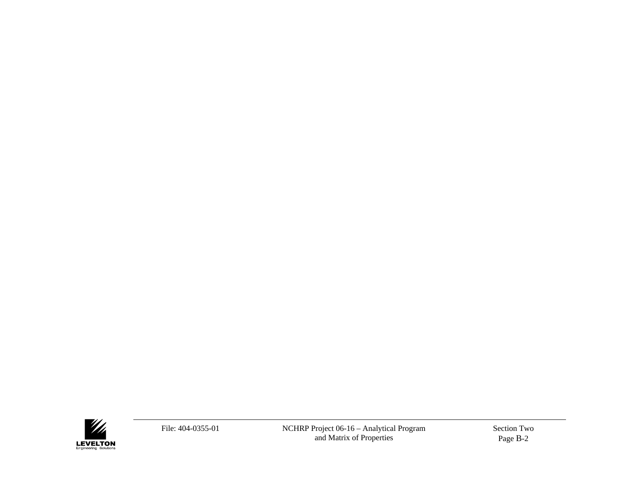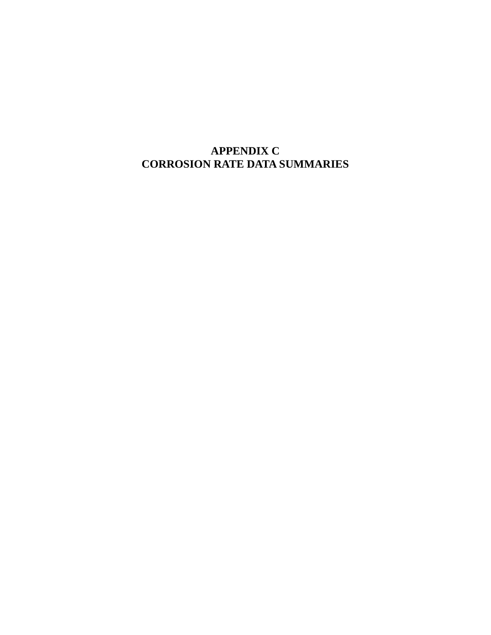# **APPENDIX C CORROSION RATE DATA SUMMARIES**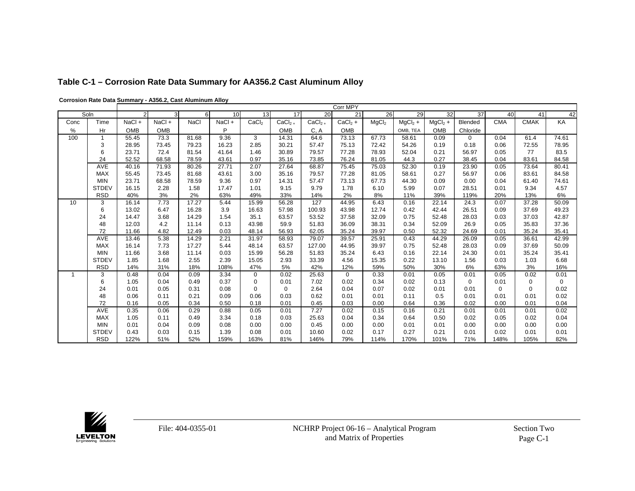|      |              |                |            |             |        |                   |            |                   | Corr MPY     |                   |           |                 |             |            |              |          |
|------|--------------|----------------|------------|-------------|--------|-------------------|------------|-------------------|--------------|-------------------|-----------|-----------------|-------------|------------|--------------|----------|
|      | Soln         | $\overline{2}$ | 3          | $6 \mid$    | 10     | 13 <sup>1</sup>   | 17         | 20                | 21           | 26                | 29        | $\overline{32}$ | 37          | 40         | 41           | 42       |
| Conc | Time         | NaCl +         | NaCl +     | <b>NaCl</b> | NaCl + | CaCl <sub>2</sub> | $CaCl2+$   | CaCl <sub>2</sub> | $CaCl2 +$    | MgCl <sub>2</sub> | $MgCl2 +$ | $MqCl2 +$       | Blended     | <b>CMA</b> | <b>CMAK</b>  | KA       |
| %    | Hr           | <b>OMB</b>     | <b>OMB</b> |             | P      |                   | <b>OMB</b> | C, A              | <b>OMB</b>   |                   | OMB, TEA  | <b>OMB</b>      | Chloride    |            |              |          |
| 100  | 1            | 55.45          | 73.3       | 81.68       | 9.36   | 3                 | 14.31      | 64.6              | 73.13        | 67.73             | 58.61     | 0.09            | 0           | 0.04       | 61.4         | 74.61    |
|      | 3            | 28.95          | 73.45      | 79.23       | 16.23  | 2.85              | 30.21      | 57.47             | 75.13        | 72.42             | 54.26     | 0.19            | 0.18        | 0.06       | 72.55        | 78.95    |
|      | 6            | 23.71          | 72.4       | 81.54       | 41.64  | 1.46              | 30.89      | 79.57             | 77.28        | 78.93             | 52.04     | 0.21            | 56.97       | 0.05       | 77           | 83.5     |
|      | 24           | 52.52          | 68.58      | 78.59       | 43.61  | 0.97              | 35.16      | 73.85             | 76.24        | 81.05             | 44.3      | 0.27            | 38.45       | 0.04       | 83.61        | 84.58    |
|      | AVE          | 40.16          | 71.93      | 80.26       | 27.71  | 2.07              | 27.64      | 68.87             | 75.45        | 75.03             | 52.30     | 0.19            | 23.90       | 0.05       | 73.64        | 80.41    |
|      | <b>MAX</b>   | 55.45          | 73.45      | 81.68       | 43.61  | 3.00              | 35.16      | 79.57             | 77.28        | 81.05             | 58.61     | 0.27            | 56.97       | 0.06       | 83.61        | 84.58    |
|      | <b>MIN</b>   | 23.71          | 68.58      | 78.59       | 9.36   | 0.97              | 14.31      | 57.47             | 73.13        | 67.73             | 44.30     | 0.09            | 0.00        | 0.04       | 61.40        | 74.61    |
|      | <b>STDEV</b> | 16.15          | 2.28       | 1.58        | 17.47  | 1.01              | 9.15       | 9.79              | 1.78         | 6.10              | 5.99      | 0.07            | 28.51       | 0.01       | 9.34         | 4.57     |
|      | <b>RSD</b>   | 40%            | 3%         | 2%          | 63%    | 49%               | 33%        | 14%               | 2%           | 8%                | 11%       | 39%             | 119%        | 20%        | 13%          | 6%       |
| 10   | 3            | 16.14          | 7.73       | 17.27       | 5.44   | 15.99             | 56.28      | 127               | 44.95        | 6.43              | 0.16      | 22.14           | 24.3        | 0.07       | 37.28        | 50.09    |
|      | 6            | 13.02          | 6.47       | 16.28       | 3.9    | 16.63             | 57.98      | 100.93            | 43.98        | 12.74             | 0.42      | 42.44           | 26.51       | 0.09       | 37.69        | 49.23    |
|      | 24           | 14.47          | 3.68       | 14.29       | 1.54   | 35.1              | 63.57      | 53.52             | 37.58        | 32.09             | 0.75      | 52.48           | 28.03       | 0.03       | 37.03        | 42.87    |
|      | 48           | 12.03          | 4.2        | 11.14       | 0.13   | 43.98             | 59.9       | 51.83             | 36.09        | 38.31             | 0.34      | 52.09           | 26.9        | 0.05       | 35.83        | 37.36    |
|      | 72           | 11.66          | 4.82       | 12.49       | 0.03   | 48.14             | 56.93      | 62.05             | 35.24        | 39.97             | 0.50      | 52.32           | 24.69       | 0.01       | 35.24        | 35.41    |
|      | AVE          | 13.46          | 5.38       | 14.29       | 2.21   | 31.97             | 58.93      | 79.07             | 39.57        | 25.91             | 0.43      | 44.29           | 26.09       | 0.05       | 36.61        | 42.99    |
|      | <b>MAX</b>   | 16.14          | 7.73       | 17.27       | 5.44   | 48.14             | 63.57      | 127.00            | 44.95        | 39.97             | 0.75      | 52.48           | 28.03       | 0.09       | 37.69        | 50.09    |
|      | <b>MIN</b>   | 11.66          | 3.68       | 11.14       | 0.03   | 15.99             | 56.28      | 51.83             | 35.24        | 6.43              | 0.16      | 22.14           | 24.30       | 0.01       | 35.24        | 35.41    |
|      | <b>STDEV</b> | 1.85           | 1.68       | 2.55        | 2.39   | 15.05             | 2.93       | 33.39             | 4.56         | 15.35             | 0.22      | 13.10           | 1.56        | 0.03       | 1.03         | 6.68     |
|      | <b>RSD</b>   | 14%            | 31%        | 18%         | 108%   | 47%               | 5%         | 42%               | 12%          | 59%               | 50%       | 30%             | 6%          | 63%        | 3%           | 16%      |
| 1    | 3            | 0.48           | 0.04       | 0.09        | 3.34   | 0                 | 0.02       | 25.63             | $\mathbf{0}$ | 0.33              | 0.01      | 0.05            | 0.01        | 0.05       | 0.02         | 0.01     |
|      | 6            | 1.05           | 0.04       | 0.49        | 0.37   | 0                 | 0.01       | 7.02              | 0.02         | 0.34              | 0.02      | 0.13            | $\mathbf 0$ | 0.01       | $\mathbf{0}$ | $\Omega$ |
|      | 24           | 0.01           | 0.05       | 0.31        | 0.08   | $\mathbf 0$       | $\Omega$   | 2.64              | 0.04         | 0.07              | 0.02      | 0.01            | 0.01        | 0          | $\mathbf 0$  | 0.02     |
|      | 48           | 0.06           | 0.11       | 0.21        | 0.09   | 0.06              | 0.03       | 0.62              | 0.01         | 0.01              | 0.11      | 0.5             | 0.01        | 0.01       | 0.01         | 0.02     |
|      | 72           | 0.16           | 0.05       | 0.34        | 0.50   | 0.18              | 0.01       | 0.45              | 0.03         | 0.00              | 0.64      | 0.36            | 0.02        | 0.00       | 0.01         | 0.04     |
|      | AVE          | 0.35           | 0.06       | 0.29        | 0.88   | 0.05              | 0.01       | 7.27              | 0.02         | 0.15              | 0.16      | 0.21            | 0.01        | 0.01       | 0.01         | 0.02     |
|      | <b>MAX</b>   | 1.05           | 0.11       | 0.49        | 3.34   | 0.18              | 0.03       | 25.63             | 0.04         | 0.34              | 0.64      | 0.50            | 0.02        | 0.05       | 0.02         | 0.04     |
|      | <b>MIN</b>   | 0.01           | 0.04       | 0.09        | 0.08   | 0.00              | 0.00       | 0.45              | 0.00         | 0.00              | 0.01      | 0.01            | 0.00        | 0.00       | 0.00         | 0.00     |
|      | <b>STDEV</b> | 0.43           | 0.03       | 0.15        | 1.39   | 0.08              | 0.01       | 10.60             | 0.02         | 0.17              | 0.27      | 0.21            | 0.01        | 0.02       | 0.01         | 0.01     |
|      | <b>RSD</b>   | 122%           | 51%        | 52%         | 159%   | 163%              | 81%        | 146%              | 79%          | 114%              | 170%      | 101%            | 71%         | 148%       | 105%         | 82%      |

## **Table C-1 – Corrosion Rate Data Summary for AA356.2 Cast Aluminum Alloy**



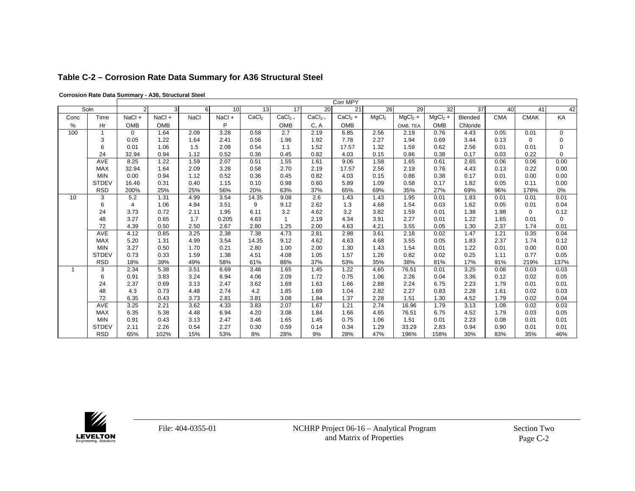|  |  | Table C-2 - Corrosion Rate Data Summary for A36 Structural Steel |
|--|--|------------------------------------------------------------------|
|--|--|------------------------------------------------------------------|

|      |                | ounnnur y      | Avv, ou uvturur otoor |      |                 |                   |            |          |                 |                   |           |            |          |            |             |             |
|------|----------------|----------------|-----------------------|------|-----------------|-------------------|------------|----------|-----------------|-------------------|-----------|------------|----------|------------|-------------|-------------|
|      |                |                |                       |      |                 |                   |            |          | Corr MPY        |                   |           |            |          |            |             |             |
|      | Soln           | $\overline{2}$ | 3                     | 61   | 10 <sup>1</sup> | 13                | 17         | 20       | $\overline{21}$ | 26                | 29        | 32         | 37       | 40         | 41          | 42          |
| Conc | Time           | NaCl +         | NaCl +                | NaCl | NaCl +          | CaCl <sub>2</sub> | $CaCl2+$   | $CaCl2+$ | $CaCl2 +$       | MgCl <sub>2</sub> | $MgCl2 +$ | $MgCl2 +$  | Blended  | <b>CMA</b> | <b>CMAK</b> | KA          |
| %    | Hr             | <b>OMB</b>     | <b>OMB</b>            |      | P               |                   | <b>OMB</b> | C, A     | <b>OMB</b>      |                   | OMB, TEA  | <b>OMB</b> | Chloride |            |             |             |
| 100  | $\overline{1}$ | $\mathbf{0}$   | 1.64                  | 2.09 | 3.28            | 0.58              | 2.7        | 2.19     | 6.85            | 2.56              | 2.19      | 0.76       | 4.43     | 0.05       | 0.01        | $\mathbf 0$ |
|      | 3              | 0.05           | 1.22                  | 1.64 | 2.41            | 0.56              | 1.96       | 1.92     | 7.78            | 2.27              | 1.94      | 0.69       | 3.44     | 0.13       | 0           | 0           |
|      | 6              | 0.01           | 1.06                  | 1.5  | 2.08            | 0.54              | 1.1        | 1.52     | 17.57           | 1.32              | 1.59      | 0.62       | 2.56     | 0.01       | 0.01        | $\mathbf 0$ |
|      | 24             | 32.94          | 0.94                  | 1.12 | 0.52            | 0.36              | 0.45       | 0.82     | 4.03            | 0.15              | 0.86      | 0.38       | 0.17     | 0.03       | 0.22        | $\Omega$    |
|      | AVE            | 8.25           | 1.22                  | 1.59 | 2.07            | 0.51              | 1.55       | 1.61     | 9.06            | 1.58              | 1.65      | 0.61       | 2.65     | 0.06       | 0.06        | 0.00        |
|      | <b>MAX</b>     | 32.94          | 1.64                  | 2.09 | 3.28            | 0.58              | 2.70       | 2.19     | 17.57           | 2.56              | 2.19      | 0.76       | 4.43     | 0.13       | 0.22        | 0.00        |
|      | <b>MIN</b>     | 0.00           | 0.94                  | 1.12 | 0.52            | 0.36              | 0.45       | 0.82     | 4.03            | 0.15              | 0.86      | 0.38       | 0.17     | 0.01       | 0.00        | 0.00        |
|      | <b>STDEV</b>   | 16.46          | 0.31                  | 0.40 | 1.15            | 0.10              | 0.98       | 0.60     | 5.89            | 1.09              | 0.58      | 0.17       | 1.82     | 0.05       | 0.11        | 0.00        |
|      | <b>RSD</b>     | 200%           | 25%                   | 25%  | 56%             | 20%               | 63%        | 37%      | 65%             | 69%               | 35%       | 27%        | 69%      | 96%        | 178%        | 0%          |
| 10   | 3              | 5.2            | 1.31                  | 4.99 | 3.54            | 14.35             | 9.08       | 2.6      | 1.43            | 1.43              | 1.95      | 0.01       | 1.83     | 0.01       | 0.01        | 0.01        |
|      | 6              | 4              | 1.06                  | 4.94 | 3.51            | 9                 | 9.12       | 2.62     | 1.3             | 4.68              | 1.54      | 0.03       | 1.62     | 0.05       | 0.01        | 0.04        |
|      | 24             | 3.73           | 0.72                  | 2.11 | 1.95            | 6.11              | 3.2        | 4.62     | 3.2             | 3.82              | 1.59      | 0.01       | 1.38     | 1.98       | 0           | 0.12        |
|      | 48             | 3.27           | 0.65                  | 1.7  | 0.205           | 4.63              |            | 2.19     | 4.34            | 3.91              | 2.27      | 0.01       | 1.22     | 1.65       | 0.01        | $\mathbf 0$ |
|      | 72             | 4.39           | 0.50                  | 2.50 | 2.67            | 2.80              | 1.25       | 2.00     | 4.63            | 4.21              | 3.55      | 0.05       | 1.30     | 2.37       | 1.74        | 0.01        |
|      | AVE            | 4.12           | 0.85                  | 3.25 | 2.38            | 7.38              | 4.73       | 2.81     | 2.98            | 3.61              | 2.18      | 0.02       | 1.47     | 1.21       | 0.35        | 0.04        |
|      | <b>MAX</b>     | 5.20           | 1.31                  | 4.99 | 3.54            | 14.35             | 9.12       | 4.62     | 4.63            | 4.68              | 3.55      | 0.05       | 1.83     | 2.37       | 1.74        | 0.12        |
|      | <b>MIN</b>     | 3.27           | 0.50                  | 1.70 | 0.21            | 2.80              | 1.00       | 2.00     | 1.30            | 1.43              | 1.54      | 0.01       | 1.22     | 0.01       | 0.00        | 0.00        |
|      | <b>STDEV</b>   | 0.73           | 0.33                  | 1.59 | 1.38            | 4.51              | 4.08       | 1.05     | 1.57            | 1.26              | 0.82      | 0.02       | 0.25     | 1.11       | 0.77        | 0.05        |
|      | <b>RSD</b>     | 18%            | 39%                   | 49%  | 58%             | 61%               | 86%        | 37%      | 53%             | 35%               | 38%       | 81%        | 17%      | 91%        | 219%        | 137%        |
|      | 3              | 2.34           | 5.38                  | 3.51 | 6.69            | 3.46              | 1.65       | 1.45     | 1.22            | 4.65              | 76.51     | 0.01       | 3.25     | 0.08       | 0.03        | 0.03        |
|      | 6              | 0.91           | 3.83                  | 3.24 | 6.94            | 4.06              | 2.09       | 1.72     | 0.75            | 1.06              | 2.26      | 0.04       | 3.36     | 0.12       | 0.02        | 0.05        |
|      | 24             | 2.37           | 0.69                  | 3.13 | 2.47            | 3.62              | 1.69       | 1.63     | 1.66            | 2.88              | 2.24      | 6.75       | 2.23     | 1.79       | 0.01        | 0.01        |
|      | 48             | 4.3            | 0.73                  | 4.48 | 2.74            | 4.2               | 1.85       | 1.69     | 1.04            | 2.82              | 2.27      | 0.83       | 2.28     | 1.61       | 0.02        | 0.03        |
|      | 72             | 6.35           | 0.43                  | 3.73 | 2.81            | 3.81              | 3.08       | 1.84     | 1.37            | 2.28              | 1.51      | 1.30       | 4.52     | 1.79       | 0.02        | 0.04        |
|      | AVE            | 3.25           | 2.21                  | 3.62 | 4.33            | 3.83              | 2.07       | 1.67     | 1.21            | 2.74              | 16.96     | 1.79       | 3.13     | 1.08       | 0.02        | 0.03        |
|      | <b>MAX</b>     | 6.35           | 5.38                  | 4.48 | 6.94            | 4.20              | 3.08       | 1.84     | 1.66            | 4.65              | 76.51     | 6.75       | 4.52     | 1.79       | 0.03        | 0.05        |
|      | <b>MIN</b>     | 0.91           | 0.43                  | 3.13 | 2.47            | 3.46              | 1.65       | 1.45     | 0.75            | 1.06              | 1.51      | 0.01       | 2.23     | 0.08       | 0.01        | 0.01        |
|      | <b>STDEV</b>   | 2.11           | 2.26                  | 0.54 | 2.27            | 0.30              | 0.59       | 0.14     | 0.34            | 1.29              | 33.29     | 2.83       | 0.94     | 0.90       | 0.01        | 0.01        |

**Corrosion Rate Data Summary - A36, Structural Steel**



RSD I 65% I 102% I 15% I 53% I 8% I 28% I 9% I 28% I 47% I 196% I 158% I 30% I 83% I 35% I 46%

42

46%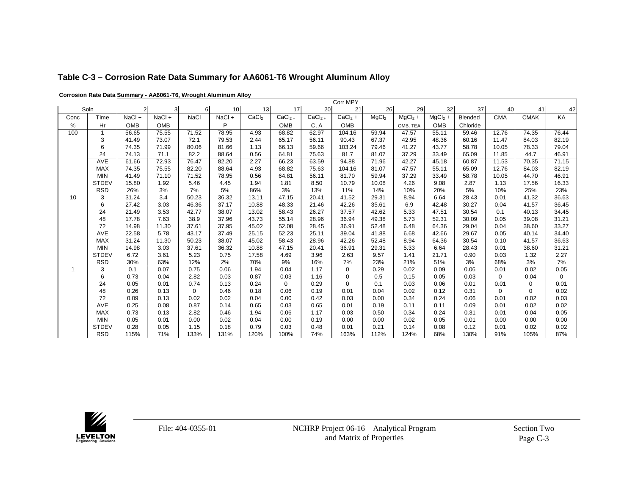|      |              |                |              |             |                 |                   |                   |          | Corr MPY        |                   |           |            |          |            |             |       |
|------|--------------|----------------|--------------|-------------|-----------------|-------------------|-------------------|----------|-----------------|-------------------|-----------|------------|----------|------------|-------------|-------|
|      | Soln         | $\overline{2}$ | $\mathbf{3}$ | $6 \mid$    | 10 <sup>1</sup> | 13                | $\overline{17}$   | 20       | $\overline{21}$ | 26                | 29        | 32         | 37       | 40         | 41          | 42    |
| Conc | Time         | $NaCl +$       | NaCl+        | <b>NaCl</b> | NaCl +          | CaCl <sub>2</sub> | CaCl <sub>2</sub> | $CaCl2+$ | $CaCl2 +$       | MqCl <sub>2</sub> | $MqCl2 +$ | $MqCl2 +$  | Blended  | <b>CMA</b> | <b>CMAK</b> | KA    |
| %    | Hr           | <b>OMB</b>     | <b>OMB</b>   |             | P               |                   | <b>OMB</b>        | C, A     | <b>OMB</b>      |                   | OMB, TEA  | <b>OMB</b> | Chloride |            |             |       |
| 100  | 1            | 56.65          | 75.55        | 71.52       | 78.95           | 4.93              | 68.82             | 62.97    | 104.16          | 59.94             | 47.57     | 55.11      | 59.46    | 12.76      | 74.35       | 76.44 |
|      | 3            | 41.49          | 73.07        | 72.1        | 79.53           | 2.44              | 65.17             | 56.11    | 90.43           | 67.37             | 42.95     | 48.36      | 60.16    | 11.47      | 84.03       | 82.19 |
|      | 6            | 74.35          | 71.99        | 80.06       | 81.66           | 1.13              | 66.13             | 59.66    | 103.24          | 79.46             | 41.27     | 43.77      | 58.78    | 10.05      | 78.33       | 79.04 |
|      | 24           | 74.13          | 71.1         | 82.2        | 88.64           | 0.56              | 64.81             | 75.63    | 81.7            | 81.07             | 37.29     | 33.49      | 65.09    | 11.85      | 44.7        | 46.91 |
|      | <b>AVE</b>   | 61.66          | 72.93        | 76.47       | 82.20           | 2.27              | 66.23             | 63.59    | 94.88           | 71.96             | 42.27     | 45.18      | 60.87    | 11.53      | 70.35       | 71.15 |
|      | <b>MAX</b>   | 74.35          | 75.55        | 82.20       | 88.64           | 4.93              | 68.82             | 75.63    | 104.16          | 81.07             | 47.57     | 55.11      | 65.09    | 12.76      | 84.03       | 82.19 |
|      | <b>MIN</b>   | 41.49          | 71.10        | 71.52       | 78.95           | 0.56              | 64.81             | 56.11    | 81.70           | 59.94             | 37.29     | 33.49      | 58.78    | 10.05      | 44.70       | 46.91 |
|      | <b>STDEV</b> | 15.80          | 1.92         | 5.46        | 4.45            | 1.94              | 1.81              | 8.50     | 10.79           | 10.08             | 4.26      | 9.08       | 2.87     | 1.13       | 17.56       | 16.33 |
|      | <b>RSD</b>   | 26%            | 3%           | 7%          | 5%              | 86%               | 3%                | 13%      | 11%             | 14%               | 10%       | 20%        | 5%       | 10%        | 25%         | 23%   |
| 10   | 3            | 31.24          | 3.4          | 50.23       | 36.32           | 13.11             | 47.15             | 20.41    | 41.52           | 29.31             | 8.94      | 6.64       | 28.43    | 0.01       | 41.32       | 36.63 |
|      | 6            | 27.42          | 3.03         | 46.36       | 37.17           | 10.88             | 48.33             | 21.46    | 42.26           | 35.61             | 6.9       | 42.48      | 30.27    | 0.04       | 41.57       | 36.45 |
|      | 24           | 21.49          | 3.53         | 42.77       | 38.07           | 13.02             | 58.43             | 26.27    | 37.57           | 42.62             | 5.33      | 47.51      | 30.54    | 0.1        | 40.13       | 34.45 |
|      | 48           | 17.78          | 7.63         | 38.9        | 37.96           | 43.73             | 55.14             | 28.96    | 36.94           | 49.38             | 5.73      | 52.31      | 30.09    | 0.05       | 39.08       | 31.21 |
|      | 72           | 14.98          | 11.30        | 37.61       | 37.95           | 45.02             | 52.08             | 28.45    | 36.91           | 52.48             | 6.48      | 64.36      | 29.04    | 0.04       | 38.60       | 33.27 |
|      | AVE          | 22.58          | 5.78         | 43.17       | 37.49           | 25.15             | 52.23             | 25.11    | 39.04           | 41.88             | 6.68      | 42.66      | 29.67    | 0.05       | 40.14       | 34.40 |
|      | <b>MAX</b>   | 31.24          | 11.30        | 50.23       | 38.07           | 45.02             | 58.43             | 28.96    | 42.26           | 52.48             | 8.94      | 64.36      | 30.54    | 0.10       | 41.57       | 36.63 |
|      | <b>MIN</b>   | 14.98          | 3.03         | 37.61       | 36.32           | 10.88             | 47.15             | 20.41    | 36.91           | 29.31             | 5.33      | 6.64       | 28.43    | 0.01       | 38.60       | 31.21 |
|      | <b>STDEV</b> | 6.72           | 3.61         | 5.23        | 0.75            | 17.58             | 4.69              | 3.96     | 2.63            | 9.57              | 1.41      | 21.71      | 0.90     | 0.03       | 1.32        | 2.27  |
|      | <b>RSD</b>   | 30%            | 63%          | 12%         | 2%              | 70%               | 9%                | 16%      | 7%              | 23%               | 21%       | 51%        | 3%       | 68%        | 3%          | 7%    |
|      | 3            | 0.1            | 0.07         | 0.75        | 0.06            | 1.94              | 0.04              | 1.17     | $\Omega$        | 0.29              | 0.02      | 0.09       | 0.06     | 0.01       | 0.02        | 0.05  |
|      | 6            | 0.73           | 0.04         | 2.82        | 0.03            | 0.87              | 0.03              | 1.16     | 0               | 0.5               | 0.15      | 0.05       | 0.03     | 0          | 0.04        | 0     |
|      | 24           | 0.05           | 0.01         | 0.74        | 0.13            | 0.24              | $\Omega$          | 0.29     | $\Omega$        | 0.1               | 0.03      | 0.06       | 0.01     | 0.01       | 0           | 0.01  |
|      | 48           | 0.26           | 0.13         | $\Omega$    | 0.46            | 0.18              | 0.06              | 0.19     | 0.01            | 0.04              | 0.02      | 0.12       | 0.31     | $\Omega$   | $\Omega$    | 0.02  |
|      | 72           | 0.09           | 0.13         | 0.02        | 0.02            | 0.04              | 0.00              | 0.42     | 0.03            | 0.00              | 0.34      | 0.24       | 0.06     | 0.01       | 0.02        | 0.03  |
|      | <b>AVE</b>   | 0.25           | 0.08         | 0.87        | 0.14            | 0.65              | 0.03              | 0.65     | 0.01            | 0.19              | 0.11      | 0.11       | 0.09     | 0.01       | 0.02        | 0.02  |
|      | <b>MAX</b>   | 0.73           | 0.13         | 2.82        | 0.46            | 1.94              | 0.06              | 1.17     | 0.03            | 0.50              | 0.34      | 0.24       | 0.31     | 0.01       | 0.04        | 0.05  |
|      | <b>MIN</b>   | 0.05           | 0.01         | 0.00        | 0.02            | 0.04              | 0.00              | 0.19     | 0.00            | 0.00              | 0.02      | 0.05       | 0.01     | 0.00       | 0.00        | 0.00  |
|      | <b>STDEV</b> | 0.28           | 0.05         | 1.15        | 0.18            | 0.79              | 0.03              | 0.48     | 0.01            | 0.21              | 0.14      | 0.08       | 0.12     | 0.01       | 0.02        | 0.02  |
|      | <b>RSD</b>   | 115%           | 71%          | 133%        | 131%            | 120%              | 100%              | 74%      | 163%            | 112%              | 124%      | 68%        | 130%     | 91%        | 105%        | 87%   |

## **Table C-3 – Corrosion Rate Data Summary for AA6061-T6 Wrought Aluminum Alloy**

**Corrosion Rate Data Summary - AA6061-T6, Wrought Aluminum Alloy**

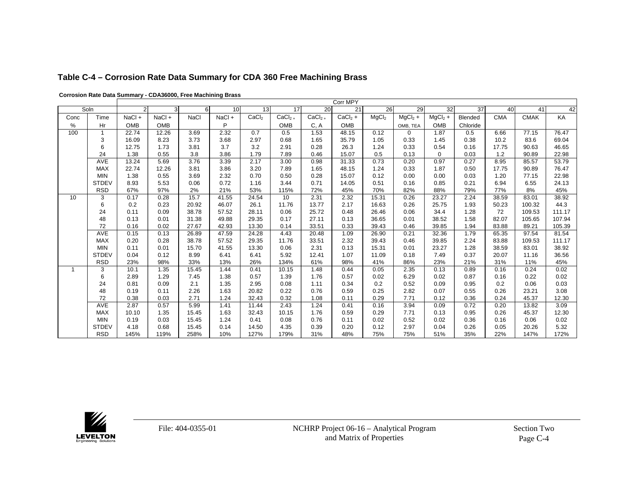|      |              |                |            |             |        |                   |                 |          | Corr MPY        |                   |             |            |          |            |             |        |
|------|--------------|----------------|------------|-------------|--------|-------------------|-----------------|----------|-----------------|-------------------|-------------|------------|----------|------------|-------------|--------|
|      | Soln         | $\overline{2}$ | 3          | $6 \mid$    | 10     | 13                | $\overline{17}$ | 20       | $\overline{21}$ | 26                | 29          | 32         | 37       | 40         | 41          | 42     |
| Conc | Time         | $NaCl +$       | NaCl +     | <b>NaCl</b> | NaCl + | CaCl <sub>2</sub> | $CaCl2+$        | $CaCl2+$ | $CaCl2 +$       | MgCl <sub>2</sub> | $MgCl2 +$   | $MgCl2 +$  | Blended  | <b>CMA</b> | <b>CMAK</b> | KA     |
| %    | Hr           | <b>OMB</b>     | <b>OMB</b> |             | P      |                   | <b>OMB</b>      | C, A     | <b>OMB</b>      |                   | OMB, TEA    | <b>OMB</b> | Chloride |            |             |        |
| 100  | 1            | 22.74          | 12.26      | 3.69        | 2.32   | 0.7               | 0.5             | 1.53     | 48.15           | 0.12              | $\mathbf 0$ | 1.87       | 0.5      | 6.66       | 77.15       | 76.47  |
|      | 3            | 16.09          | 8.23       | 3.73        | 3.68   | 2.97              | 0.68            | 1.65     | 35.79           | 1.05              | 0.33        | 1.45       | 0.38     | 10.2       | 83.6        | 69.04  |
|      | 6            | 12.75          | 1.73       | 3.81        | 3.7    | 3.2               | 2.91            | 0.28     | 26.3            | 1.24              | 0.33        | 0.54       | 0.16     | 17.75      | 90.63       | 46.65  |
|      | 24           | 1.38           | 0.55       | 3.8         | 3.86   | 1.79              | 7.89            | 0.46     | 15.07           | 0.5               | 0.13        | $\Omega$   | 0.03     | 1.2        | 90.89       | 22.98  |
|      | <b>AVE</b>   | 13.24          | 5.69       | 3.76        | 3.39   | 2.17              | 3.00            | 0.98     | 31.33           | 0.73              | 0.20        | 0.97       | 0.27     | 8.95       | 85.57       | 53.79  |
|      | <b>MAX</b>   | 22.74          | 12.26      | 3.81        | 3.86   | 3.20              | 7.89            | 1.65     | 48.15           | 1.24              | 0.33        | 1.87       | 0.50     | 17.75      | 90.89       | 76.47  |
|      | <b>MIN</b>   | 1.38           | 0.55       | 3.69        | 2.32   | 0.70              | 0.50            | 0.28     | 15.07           | 0.12              | 0.00        | 0.00       | 0.03     | 1.20       | 77.15       | 22.98  |
|      | <b>STDEV</b> | 8.93           | 5.53       | 0.06        | 0.72   | 1.16              | 3.44            | 0.71     | 14.05           | 0.51              | 0.16        | 0.85       | 0.21     | 6.94       | 6.55        | 24.13  |
|      | <b>RSD</b>   | 67%            | 97%        | 2%          | 21%    | 53%               | 115%            | 72%      | 45%             | 70%               | 82%         | 88%        | 79%      | 77%        | 8%          | 45%    |
| 10   | 3            | 0.17           | 0.28       | 15.7        | 41.55  | 24.54             | 10              | 2.31     | 2.32            | 15.31             | 0.26        | 23.27      | 2.24     | 38.59      | 83.01       | 38.92  |
|      | 6            | 0.2            | 0.23       | 20.92       | 46.07  | 26.1              | 11.76           | 13.77    | 2.17            | 16.63             | 0.26        | 25.75      | 1.93     | 50.23      | 100.32      | 44.3   |
|      | 24           | 0.11           | 0.09       | 38.78       | 57.52  | 28.11             | 0.06            | 25.72    | 0.48            | 26.46             | 0.06        | 34.4       | 1.28     | 72         | 109.53      | 111.17 |
|      | 48           | 0.13           | 0.01       | 31.38       | 49.88  | 29.35             | 0.17            | 27.11    | 0.13            | 36.65             | 0.01        | 38.52      | 1.58     | 82.07      | 105.65      | 107.94 |
|      | 72           | 0.16           | 0.02       | 27.67       | 42.93  | 13.30             | 0.14            | 33.51    | 0.33            | 39.43             | 0.46        | 39.85      | 1.94     | 83.88      | 89.21       | 105.39 |
|      | AVE          | 0.15           | 0.13       | 26.89       | 47.59  | 24.28             | 4.43            | 20.48    | 1.09            | 26.90             | 0.21        | 32.36      | 1.79     | 65.35      | 97.54       | 81.54  |
|      | <b>MAX</b>   | 0.20           | 0.28       | 38.78       | 57.52  | 29.35             | 11.76           | 33.51    | 2.32            | 39.43             | 0.46        | 39.85      | 2.24     | 83.88      | 109.53      | 111.17 |
|      | <b>MIN</b>   | 0.11           | 0.01       | 15.70       | 41.55  | 13.30             | 0.06            | 2.31     | 0.13            | 15.31             | 0.01        | 23.27      | 1.28     | 38.59      | 83.01       | 38.92  |
|      | <b>STDEV</b> | 0.04           | 0.12       | 8.99        | 6.41   | 6.41              | 5.92            | 12.41    | 1.07            | 11.09             | 0.18        | 7.49       | 0.37     | 20.07      | 11.16       | 36.56  |
|      | <b>RSD</b>   | 23%            | 98%        | 33%         | 13%    | 26%               | 134%            | 61%      | 98%             | 41%               | 86%         | 23%        | 21%      | 31%        | 11%         | 45%    |
| 1    | 3            | 10.1           | 1.35       | 15.45       | 1.44   | 0.41              | 10.15           | 1.48     | 0.44            | 0.05              | 2.35        | 0.13       | 0.89     | 0.16       | 0.24        | 0.02   |
|      | 6            | 2.89           | 1.29       | 7.45        | 1.38   | 0.57              | 1.39            | 1.76     | 0.57            | 0.02              | 6.29        | 0.02       | 0.87     | 0.16       | 0.22        | 0.02   |
|      | 24           | 0.81           | 0.09       | 2.1         | 1.35   | 2.95              | 0.08            | 1.11     | 0.34            | 0.2               | 0.52        | 0.09       | 0.95     | 0.2        | 0.06        | 0.03   |
|      | 48           | 0.19           | 0.11       | 2.26        | 1.63   | 20.82             | 0.22            | 0.76     | 0.59            | 0.25              | 2.82        | 0.07       | 0.55     | 0.26       | 23.21       | 3.08   |
|      | 72           | 0.38           | 0.03       | 2.71        | 1.24   | 32.43             | 0.32            | 1.08     | 0.11            | 0.29              | 7.71        | 0.12       | 0.36     | 0.24       | 45.37       | 12.30  |
|      | <b>AVE</b>   | 2.87           | 0.57       | 5.99        | 1.41   | 11.44             | 2.43            | 1.24     | 0.41            | 0.16              | 3.94        | 0.09       | 0.72     | 0.20       | 13.82       | 3.09   |
|      | <b>MAX</b>   | 10.10          | 1.35       | 15.45       | 1.63   | 32.43             | 10.15           | 1.76     | 0.59            | 0.29              | 7.71        | 0.13       | 0.95     | 0.26       | 45.37       | 12.30  |
|      | <b>MIN</b>   | 0.19           | 0.03       | 15.45       | 1.24   | 0.41              | 0.08            | 0.76     | 0.11            | 0.02              | 0.52        | 0.02       | 0.36     | 0.16       | 0.06        | 0.02   |
|      | <b>STDEV</b> | 4.18           | 0.68       | 15.45       | 0.14   | 14.50             | 4.35            | 0.39     | 0.20            | 0.12              | 2.97        | 0.04       | 0.26     | 0.05       | 20.26       | 5.32   |
|      | <b>RSD</b>   | 145%           | 119%       | 258%        | 10%    | 127%              | 179%            | 31%      | 48%             | 75%               | 75%         | 51%        | 35%      | 22%        | 147%        | 172%   |

## **Table C-4 – Corrosion Rate Data Summary for CDA 360 Free Machining Brass**

**Corrosion Rate Data Summary - CDA36000, Free Machining Brass**

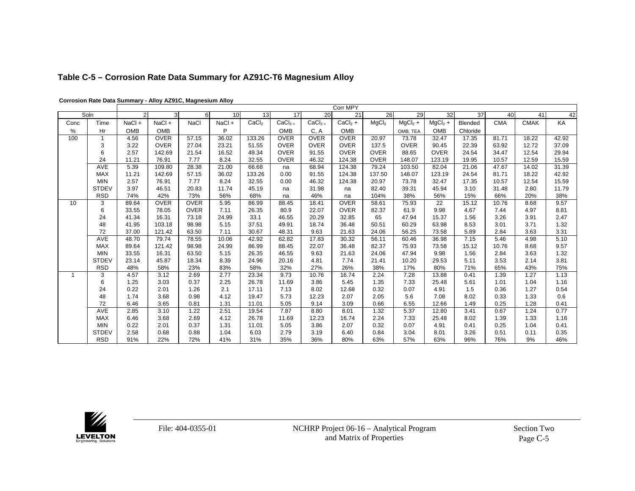## **Table C-5 – Corrosion Rate Data Summary for AZ91C-T6 Magnesium Alloy**

|      |              |                |                |             |                 |                   |             |             | Corr MPY    |                   |             |                 |                |            |             |       |
|------|--------------|----------------|----------------|-------------|-----------------|-------------------|-------------|-------------|-------------|-------------------|-------------|-----------------|----------------|------------|-------------|-------|
|      | Soln         | $\overline{2}$ | 3 <sup>1</sup> | 6           | 10 <sup>1</sup> | 13                | 17          | 20          | 21          | 26                | 29          | 32              | 37             | 40         | 41          | 42    |
| Conc | Time         | NaCl+          | $NaCl +$       | <b>NaCl</b> | NaCl +          | CaCl <sub>2</sub> | $CaCl2+$    | $CaCl2+$    | $CaCl2 +$   | MgCl <sub>2</sub> | $MgCl2 +$   | $MgCl2 +$       | <b>Blended</b> | <b>CMA</b> | <b>CMAK</b> | KA    |
| %    | Hr           | <b>OMB</b>     | <b>OMB</b>     |             | P               |                   | OMB         | C, A        | <b>OMB</b>  |                   | OMB, TEA    | <b>OMB</b>      | Chloride       |            |             |       |
| 100  | 1            | 4.56           | <b>OVER</b>    | 57.15       | 36.02           | 133.26            | <b>OVER</b> | <b>OVER</b> | <b>OVER</b> | 20.97             | 73.78       | 32.47           | 17.35          | 81.71      | 18.22       | 42.92 |
|      | 3            | 3.22           | <b>OVER</b>    | 27.04       | 23.21           | 51.55             | <b>OVER</b> | <b>OVER</b> | <b>OVER</b> | 137.5             | <b>OVER</b> | 90.45           | 22.39          | 63.92      | 12.72       | 37.09 |
|      | 6            | 2.57           | 142.69         | 21.54       | 16.52           | 49.34             | <b>OVER</b> | 91.55       | <b>OVER</b> | <b>OVER</b>       | 88.65       | <b>OVER</b>     | 24.54          | 34.47      | 12.54       | 29.94 |
|      | 24           | 11.21          | 76.91          | 7.77        | 8.24            | 32.55             | <b>OVER</b> | 46.32       | 124.38      | <b>OVER</b>       | 148.07      | 123.19          | 19.95          | 10.57      | 12.59       | 15.59 |
|      | <b>AVE</b>   | 5.39           | 109.80         | 28.38       | 21.00           | 66.68             | na          | 68.94       | 124.38      | 79.24             | 103.50      | 82.04           | 21.06          | 47.67      | 14.02       | 31.39 |
|      | <b>MAX</b>   | 11.21          | 142.69         | 57.15       | 36.02           | 133.26            | 0.00        | 91.55       | 124.38      | 137.50            | 148.07      | 123.19          | 24.54          | 81.71      | 18.22       | 42.92 |
|      | <b>MIN</b>   | 2.57           | 76.91          | 7.77        | 8.24            | 32.55             | 0.00        | 46.32       | 124.38      | 20.97             | 73.78       | 32.47           | 17.35          | 10.57      | 12.54       | 15.59 |
|      | <b>STDEV</b> | 3.97           | 46.51          | 20.83       | 11.74           | 45.19             | na          | 31.98       | na          | 82.40             | 39.31       | 45.94           | 3.10           | 31.48      | 2.80        | 11.79 |
|      | <b>RSD</b>   | 74%            | 42%            | 73%         | 56%             | 68%               | na          | 46%         | na          | 104%              | 38%         | 56%             | 15%            | 66%        | 20%         | 38%   |
| 10   | 3            | 89.64          | <b>OVER</b>    | <b>OVER</b> | 5.95            | 86.99             | 88.45       | 18.41       | <b>OVER</b> | 58.61             | 75.93       | $\overline{22}$ | 15.12          | 10.76      | 8.68        | 9.57  |
|      | 6            | 33.55          | 78.05          | <b>OVER</b> | 7.11            | 26.35             | 80.9        | 22.07       | <b>OVER</b> | 82.37             | 61.9        | 9.98            | 4.67           | 7.44       | 4.97        | 8.81  |
|      | 24           | 41.34          | 16.31          | 73.18       | 24.99           | 33.1              | 46.55       | 20.29       | 32.85       | 65                | 47.94       | 15.37           | 1.56           | 3.26       | 3.91        | 2.47  |
|      | 48           | 41.95          | 103.18         | 98.98       | 5.15            | 37.51             | 49.91       | 18.74       | 36.48       | 50.51             | 60.29       | 63.98           | 8.53           | 3.01       | 3.71        | 1.32  |
|      | 72           | 37.00          | 121.42         | 63.50       | 7.11            | 30.67             | 48.31       | 9.63        | 21.63       | 24.06             | 56.25       | 73.58           | 5.89           | 2.84       | 3.63        | 3.31  |
|      | AVE          | 48.70          | 79.74          | 78.55       | 10.06           | 42.92             | 62.82       | 17.83       | 30.32       | 56.11             | 60.46       | 36.98           | 7.15           | 5.46       | 4.98        | 5.10  |
|      | <b>MAX</b>   | 89.64          | 121.42         | 98.98       | 24.99           | 86.99             | 88.45       | 22.07       | 36.48       | 82.37             | 75.93       | 73.58           | 15.12          | 10.76      | 8.68        | 9.57  |
|      | <b>MIN</b>   | 33.55          | 16.31          | 63.50       | 5.15            | 26.35             | 46.55       | 9.63        | 21.63       | 24.06             | 47.94       | 9.98            | 1.56           | 2.84       | 3.63        | 1.32  |
|      | <b>STDEV</b> | 23.14          | 45.87          | 18.34       | 8.39            | 24.96             | 20.16       | 4.81        | 7.74        | 21.41             | 10.20       | 29.53           | 5.11           | 3.53       | 2.14        | 3.81  |
|      | <b>RSD</b>   | 48%            | 58%            | 23%         | 83%             | 58%               | 32%         | 27%         | 26%         | 38%               | 17%         | 80%             | 71%            | 65%        | 43%         | 75%   |
| 1    | 3            | 4.57           | 3.12           | 2.69        | 2.77            | 23.34             | 9.73        | 10.76       | 16.74       | 2.24              | 7.28        | 13.88           | 0.41           | 1.39       | 1.27        | 1.13  |
|      | 6            | 1.25           | 3.03           | 0.37        | 2.25            | 26.78             | 11.69       | 3.86        | 5.45        | 1.35              | 7.33        | 25.48           | 5.61           | 1.01       | 1.04        | 1.16  |
|      | 24           | 0.22           | 2.01           | 1.26        | 2.1             | 17.11             | 7.13        | 8.02        | 12.68       | 0.32              | 0.07        | 4.91            | 1.5            | 0.36       | 1.27        | 0.54  |
|      | 48           | 1.74           | 3.68           | 0.98        | 4.12            | 19.47             | 5.73        | 12.23       | 2.07        | 2.05              | 5.6         | 7.08            | 8.02           | 0.33       | 1.33        | 0.6   |
|      | 72           | 6.46           | 3.65           | 0.81        | 1.31            | 11.01             | 5.05        | 9.14        | 3.09        | 0.66              | 6.55        | 12.66           | 1.49           | 0.25       | 1.28        | 0.41  |
|      | <b>AVE</b>   | 2.85           | 3.10           | 1.22        | 2.51            | 19.54             | 7.87        | 8.80        | 8.01        | 1.32              | 5.37        | 12.80           | 3.41           | 0.67       | 1.24        | 0.77  |
|      | <b>MAX</b>   | 6.46           | 3.68           | 2.69        | 4.12            | 26.78             | 11.69       | 12.23       | 16.74       | 2.24              | 7.33        | 25.48           | 8.02           | 1.39       | 1.33        | 1.16  |
|      | <b>MIN</b>   | 0.22           | 2.01           | 0.37        | 1.31            | 11.01             | 5.05        | 3.86        | 2.07        | 0.32              | 0.07        | 4.91            | 0.41           | 0.25       | 1.04        | 0.41  |
|      | <b>STDEV</b> | 2.58           | 0.68           | 0.88        | 1.04            | 6.03              | 2.79        | 3.19        | 6.40        | 0.84              | 3.04        | 8.01            | 3.26           | 0.51       | 0.11        | 0.35  |
|      | <b>RSD</b>   | 91%            | 22%            | 72%         | 41%             | 31%               | 35%         | 36%         | 80%         | 63%               | 57%         | 63%             | 96%            | 76%        | 9%          | 46%   |

**Corrosion Rate Data Summary - Alloy AZ91C, Magnesium Alloy**

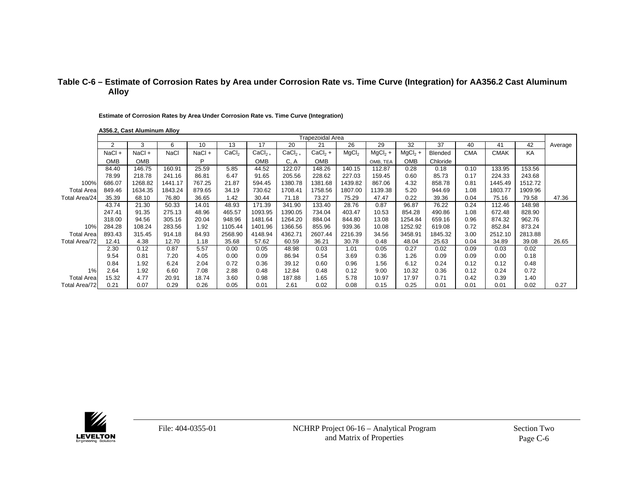### **Table C-6 – Estimate of Corrosion Rates by Area under Corrosion Rate vs. Time Curve (Integration) for AA356.2 Cast Aluminum Alloy**

**A356.2, Cast Aluminum Alloy**

|                   |            |            |             |          |                   |          |          | Trapezoidal Area |                   |           |           |                |            |             |         |         |
|-------------------|------------|------------|-------------|----------|-------------------|----------|----------|------------------|-------------------|-----------|-----------|----------------|------------|-------------|---------|---------|
|                   | 2          | 3          | 6           | 10       | 13                | 17       | 20       | 21               | 26                | 29        | 32        | 37             | 40         | 41          | 42      | Average |
|                   | NaCl +     | NaCl +     | <b>NaCl</b> | $NaCl +$ | CaCl <sub>2</sub> | $CaCl2+$ | $CaCl2+$ | $CaCl2 +$        | MgCl <sub>2</sub> | $MgCl2 +$ | $MgCl2 +$ | <b>Blended</b> | <b>CMA</b> | <b>CMAK</b> | KA      |         |
|                   | <b>OMB</b> | <b>OMB</b> |             | P        |                   | OMB      | C, A     | <b>OMB</b>       |                   | OMB, TEA  | OMB       | Chloride       |            |             |         |         |
|                   | 84.40      | 146.75     | 160.91      | 25.59    | 5.85              | 44.52    | 122.07   | 148.26           | 140.15            | 112.87    | 0.28      | 0.18           | 0.10       | 133.95      | 153.56  |         |
|                   | 78.99      | 218.78     | 241.16      | 86.81    | 6.47              | 91.65    | 205.56   | 228.62           | 227.03            | 159.45    | 0.60      | 85.73          | 0.17       | 224.33      | 243.68  |         |
| 100%              | 686.07     | 1268.82    | 1441.17     | 767.25   | 21.87             | 594.45   | 1380.78  | 1381.68          | 1439.82           | 867.06    | 4.32      | 858.78         | 0.81       | 1445.49     | 1512.72 |         |
| <b>Total Area</b> | 849.46     | 1634.35    | 1843.24     | 879.65   | 34.19             | 730.62   | 1708.41  | 1758.56          | 1807.00           | 1139.38   | 5.20      | 944.69         | 1.08       | 1803.77     | 1909.96 |         |
| Total Area/24     | 35.39      | 68.10      | 76.80       | 36.65    | 1.42              | 30.44    | 71.18    | 73.27            | 75.29             | 47.47     | 0.22      | 39.36          | 0.04       | 75.16       | 79.58   | 47.36   |
|                   | 43.74      | 21.30      | 50.33       | 14.01    | 48.93             | 171.39   | 341.90   | 133.40           | 28.76             | 0.87      | 96.87     | 76.22          | 0.24       | 112.46      | 148.98  |         |
|                   | 247.41     | 91.35      | 275.13      | 48.96    | 465.57            | 1093.95  | 1390.05  | 734.04           | 403.47            | 10.53     | 854.28    | 490.86         | 1.08       | 672.48      | 828.90  |         |
|                   | 318.00     | 94.56      | 305.16      | 20.04    | 948.96            | 1481.64  | 1264.20  | 884.04           | 844.80            | 13.08     | 1254.84   | 659.16         | 0.96       | 874.32      | 962.76  |         |
| 10%               | 284.28     | 108.24     | 283.56      | 1.92     | 1105.44           | 1401.96  | 1366.56  | 855.96           | 939.36            | 10.08     | 1252.92   | 619.08         | 0.72       | 852.84      | 873.24  |         |
| <b>Total Area</b> | 893.43     | 315.45     | 914.18      | 84.93    | 2568.90           | 4148.94  | 4362.71  | 2607.44          | 2216.39           | 34.56     | 3458.91   | 1845.32        | 3.00       | 2512.10     | 2813.88 |         |
| Total Area/72     | 12.41      | 4.38       | 12.70       | 1.18     | 35.68             | 57.62    | 60.59    | 36.21            | 30.78             | 0.48      | 48.04     | 25.63          | 0.04       | 34.89       | 39.08   | 26.65   |
|                   | 2.30       | 0.12       | 0.87        | 5.57     | 0.00              | 0.05     | 48.98    | 0.03             | 1.01              | 0.05      | 0.27      | 0.02           | 0.09       | 0.03        | 0.02    |         |
|                   | 9.54       | 0.81       | 7.20        | 4.05     | 0.00              | 0.09     | 86.94    | 0.54             | 3.69              | 0.36      | 1.26      | 0.09           | 0.09       | 0.00        | 0.18    |         |
|                   | 0.84       | 1.92       | 6.24        | 2.04     | 0.72              | 0.36     | 39.12    | 0.60             | 0.96              | 1.56      | 6.12      | 0.24           | 0.12       | 0.12        | 0.48    |         |
| 1%                | 2.64       | 1.92       | 6.60        | 7.08     | 2.88              | 0.48     | 12.84    | 0.48             | 0.12              | 9.00      | 10.32     | 0.36           | 0.12       | 0.24        | 0.72    |         |
| <b>Total Area</b> | 15.32      | 4.77       | 20.91       | 18.74    | 3.60              | 0.98     | 187.88   | 1.65             | 5.78              | 10.97     | 17.97     | 0.71           | 0.42       | 0.39        | 1.40    |         |
| Total Area/72     | 0.21       | 0.07       | 0.29        | 0.26     | 0.05              | 0.01     | 2.61     | 0.02             | 0.08              | 0.15      | 0.25      | 0.01           | 0.01       | 0.01        | 0.02    | 0.27    |

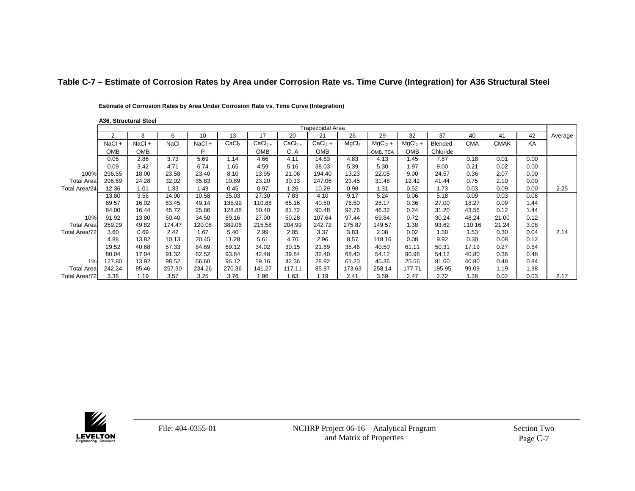# **Table C-7 – Estimate of Corrosion Rates by Area under Corrosion Rate vs. Time Curve (Integration) for A36 Structural Steel**

|               | A36, Structural Steel |            |             |          |                   |             |             |                  |                   |           |            |          |            |             |      |         |
|---------------|-----------------------|------------|-------------|----------|-------------------|-------------|-------------|------------------|-------------------|-----------|------------|----------|------------|-------------|------|---------|
|               |                       |            |             |          |                   |             |             | Trapezoidal Area |                   |           |            |          |            |             |      |         |
|               | $\overline{2}$        | 3          | 6           | 10       | 13                | 17          | 20          | 21               | 26                | 29        | 32         | 37       | 40         | 41          | 42   | Average |
|               | $NaCl +$              | NaCl +     | <b>NaCl</b> | $NaCl +$ | CaCl <sub>2</sub> | $CaCl_{2+}$ | $CaCl_{2+}$ | $CaCl2 +$        | MgCl <sub>2</sub> | $MgCl2 +$ | $MgCl2 +$  | Blended  | <b>CMA</b> | <b>CMAK</b> | KA   |         |
|               | <b>OMB</b>            | <b>OMB</b> |             | P        |                   | <b>OMB</b>  | C, A        | <b>OMB</b>       |                   | OMB, TEA  | <b>OMB</b> | Chloride |            |             |      |         |
|               | 0.05                  | 2.86       | 3.73        | 5.69     | 1.14              | 4.66        | 4.11        | 14.63            | 4.83              | 4.13      | 1.45       | 7.87     | 0.18       | 0.01        | 0.00 |         |
|               | 0.09                  | 3.42       | 4.71        | 6.74     | 1.65              | 4.59        | 5.16        | 38.03            | 5.39              | 5.30      | 1.97       | 9.00     | 0.21       | 0.02        | 0.00 |         |
| 100%          | 296.55                | 18.00      | 23.58       | 23.40    | 8.10              | 13.95       | 21.06       | 194.40           | 13.23             | 22.05     | 9.00       | 24.57    | 0.36       | 2.07        | 0.00 |         |
| Total Area    | 296.69                | 24.28      | 32.02       | 35.83    | 10.89             | 23.20       | 30.33       | 247.06           | 23.45             | 31.48     | 12.42      | 41.44    | 0.75       | 2.10        | 0.00 |         |
| Total Area/24 | 12.36                 | 1.01       | 1.33        | 1.49     | 0.45              | 0.97        | 1.26        | 10.29            | 0.98              | 1.31      | 0.52       | 1.73     | 0.03       | 0.09        | 0.00 | 2.25    |
|               | 13.80                 | 3.56       | 14.90       | 10.58    | 35.03             | 27.30       | 7.83        | 4.10             | 9.17              | 5.24      | 0.06       | 5.18     | 0.09       | 0.03        | 0.08 |         |
|               | 69.57                 | 16.02      | 63.45       | 49.14    | 135.99            | 110.88      | 65.16       | 40.50            | 76.50             | 28.17     | 0.36       | 27.00    | 18.27      | 0.09        | 1.44 |         |
|               | 84.00                 | 16.44      | 45.72       | 25.86    | 128.88            | 50.40       | 81.72       | 90.48            | 92.76             | 46.32     | 0.24       | 31.20    | 43.56      | 0.12        | 1.44 |         |
| 10%           | 91.92                 | 13.80      | 50.40       | 34.50    | 89.16             | 27.00       | 50.28       | 107.64           | 97.44             | 69.84     | 0.72       | 30.24    | 48.24      | 21.00       | 0.12 |         |
| Total Area    | 259.29                | 49.82      | 174.47      | 120.08   | 389.06            | 215.58      | 204.99      | 242.72           | 275.87            | 149.57    | 1.38       | 93.62    | 110.16     | 21.24       | 3.08 |         |
| Total Area/72 | 3.60                  | 0.69       | 2.42        | 1.67     | 5.40              | 2.99        | 2.85        | 3.37             | 3.83              | 2.08      | 0.02       | 1.30     | 1.53       | 0.30        | 0.04 | 2.14    |
|               | 4.88                  | 13.82      | 10.13       | 20.45    | 11.28             | 5.61        | 4.76        | 2.96             | 8.57              | 118.16    | 0.08       | 9.92     | 0.30       | 0.08        | 0.12 |         |
|               | 29.52                 | 40.68      | 57.33       | 84.69    | 69.12             | 34.02       | 30.15       | 21.69            | 35.46             | 40.50     | 61.11      | 50.31    | 17.19      | 0.27        | 0.54 |         |
|               | 80.04                 | 17.04      | 91.32       | 62.52    | 93.84             | 42.48       | 39.84       | 32.40            | 68.40             | 54.12     | 90.96      | 54.12    | 40.80      | 0.36        | 0.48 |         |
| $1\%$         | 127.80                | 13.92      | 98.52       | 66.60    | 96.12             | 59.16       | 42.36       | 28.92            | 61.20             | 45.36     | 25.56      | 81.60    | 40.80      | 0.48        | 0.84 |         |
| Total Area    | 242.24                | 85.46      | 257.30      | 234.26   | 270.36            | 141.27      | 117.11      | 85.97            | 173.63            | 258.14    | 177.71     | 195.95   | 99.09      | 1.19        | 1.98 |         |
| Total Area/72 | 3.36                  | 1.19       | 3.57        | 3.25     | 3.76              | 1.96        | 1.63        | 1.19             | 2.41              | 3.59      | 2.47       | 2.72     | 1.38       | 0.02        | 0.03 | 2.17    |

**Estimate of Corrosion Rates by Area Under Corrosion Rate vs. Time Curve (Integration)**

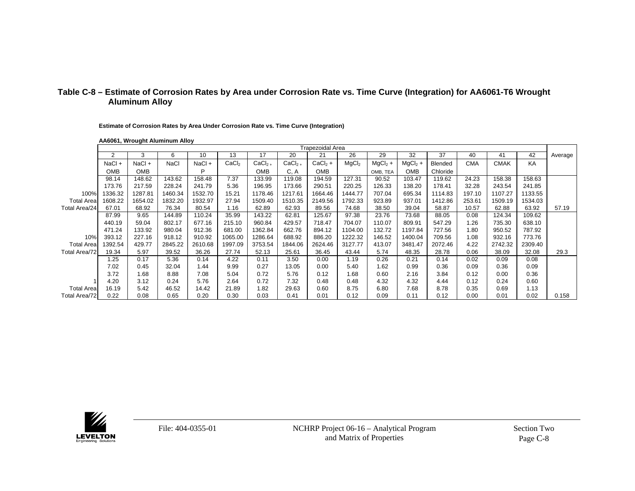### **Table C-8 – Estimate of Corrosion Rates by Area under Corrosion Rate vs. Time Curve (Integration) for AA6061-T6 Wrought Aluminum Alloy**

**Estimate of Corrosion Rates by Area Under Corrosion Rate vs. Time Curve (Integration)**

|                   |         |            |             |         |                   |            |          | Trapezoidal Area |                   |           |            |                |            |             |         |         |
|-------------------|---------|------------|-------------|---------|-------------------|------------|----------|------------------|-------------------|-----------|------------|----------------|------------|-------------|---------|---------|
|                   | 2       | 3          | 6           | 10      | 13                | 17         | 20       | 21               | 26                | 29        | 32         | 37             | 40         | 41          | 42      | Average |
|                   | NaCl +  | NaCl+      | <b>NaCl</b> | NaCl +  | CaCl <sub>2</sub> | $CaCl2+$   | $CaCl2+$ | $CaCl2 +$        | MgCl <sub>2</sub> | $MgCl2 +$ | $MgCl2 +$  | <b>Blended</b> | <b>CMA</b> | <b>CMAK</b> | KA      |         |
|                   | OMB     | <b>OMB</b> |             | P       |                   | <b>OMB</b> | C, A     | <b>OMB</b>       |                   | OMB, TEA  | <b>OMB</b> | Chloride       |            |             |         |         |
|                   | 98.14   | 148.62     | 143.62      | 158.48  | 7.37              | 133.99     | 119.08   | 194.59           | 127.31            | 90.52     | 103.47     | 119.62         | 24.23      | 158.38      | 158.63  |         |
|                   | 173.76  | 217.59     | 228.24      | 241.79  | 5.36              | 196.95     | 173.66   | 290.51           | 220.25            | 126.33    | 138.20     | 178.41         | 32.28      | 243.54      | 241.85  |         |
| 100%              | 1336.32 | 1287.81    | 1460.34     | 1532.70 | 15.21             | 1178.46    | 1217.61  | 1664.46          | 1444.77           | 707.04    | 695.34     | 1114.83        | 197.10     | 1107.27     | 1133.55 |         |
| <b>Total Area</b> | 1608.22 | 1654.02    | 1832.20     | 1932.97 | 27.94             | 1509.40    | 1510.35  | 2149.56          | 1792.33           | 923.89    | 937.01     | 1412.86        | 253.61     | 1509.19     | 1534.03 |         |
| Total Area/24     | 67.01   | 68.92      | 76.34       | 80.54   | 1.16              | 62.89      | 62.93    | 89.56            | 74.68             | 38.50     | 39.04      | 58.87          | 10.57      | 62.88       | 63.92   | 57.19   |
|                   | 87.99   | 9.65       | 144.89      | 110.24  | 35.99             | 143.22     | 62.81    | 125.67           | 97.38             | 23.76     | 73.68      | 88.05          | 0.08       | 124.34      | 109.62  |         |
|                   | 440.19  | 59.04      | 802.17      | 677.16  | 215.10            | 960.84     | 429.57   | 718.47           | 704.07            | 110.07    | 809.91     | 547.29         | 1.26       | 735.30      | 638.10  |         |
|                   | 471.24  | 133.92     | 980.04      | 912.36  | 681.00            | 1362.84    | 662.76   | 894.12           | 1104.00           | 132.72    | 1197.84    | 727.56         | 1.80       | 950.52      | 787.92  |         |
| 10%               | 393.12  | 227.16     | 918.12      | 910.92  | 1065.00           | 1286.64    | 688.92   | 886.20           | 1222.32           | 146.52    | 1400.04    | 709.56         | 1.08       | 932.16      | 773.76  |         |
| <b>Total Area</b> | 1392.54 | 429.77     | 2845.22     | 2610.68 | 1997.09           | 3753.54    | 1844.06  | 2624.46          | 3127.77           | 413.07    | 3481.47    | 2072.46        | 4.22       | 2742.32     | 2309.40 |         |
| Total Area/72     | 19.34   | 5.97       | 39.52       | 36.26   | 27.74             | 52.13      | 25.61    | 36.45            | 43.44             | 5.74      | 48.35      | 28.78          | 0.06       | 38.09       | 32.08   | 29.3    |
|                   | 1.25    | 0.17       | 5.36        | 0.14    | 4.22              | 0.11       | 3.50     | 0.00             | 1.19              | 0.26      | 0.21       | 0.14           | 0.02       | 0.09        | 0.08    |         |
|                   | 7.02    | 0.45       | 32.04       | 1.44    | 9.99              | 0.27       | 13.05    | 0.00             | 5.40              | 1.62      | 0.99       | 0.36           | 0.09       | 0.36        | 0.09    |         |
|                   | 3.72    | 1.68       | 8.88        | 7.08    | 5.04              | 0.72       | 5.76     | 0.12             | 1.68              | 0.60      | 2.16       | 3.84           | 0.12       | 0.00        | 0.36    |         |
|                   | 4.20    | 3.12       | 0.24        | 5.76    | 2.64              | 0.72       | 7.32     | 0.48             | 0.48              | 4.32      | 4.32       | 4.44           | 0.12       | 0.24        | 0.60    |         |
| <b>Total Area</b> | 16.19   | 5.42       | 46.52       | 14.42   | 21.89             | 1.82       | 29.63    | 0.60             | 8.75              | 6.80      | 7.68       | 8.78           | 0.35       | 0.69        | 1.13    |         |
| Total Area/721    | 0.22    | 0.08       | 0.65        | 0.20    | 0.30              | 0.03       | 0.41     | 0.01             | 0.12              | 0.09      | 0.11       | 0.12           | 0.00       | 0.01        | 0.02    | 0.158   |

**AA6061, Wrought Aluminum Alloy**

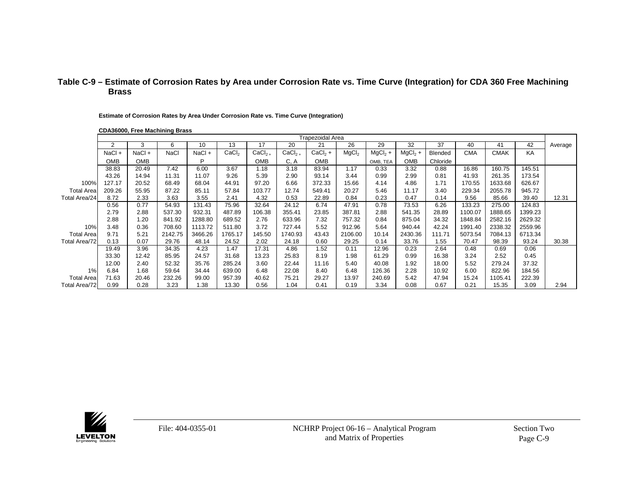#### **Table C-9 – Estimate of Corrosion Rates by Area under Corrosion Rate vs. Time Curve (Integration) for CDA 360 Free Machining Brass**

|                   |                         |            | <b>CDA36000, Free Machining Brass</b> |         |                   |                   |             |            |                   |           |            |          |            |             |         |         |
|-------------------|-------------------------|------------|---------------------------------------|---------|-------------------|-------------------|-------------|------------|-------------------|-----------|------------|----------|------------|-------------|---------|---------|
|                   | <b>Trapezoidal Area</b> |            |                                       |         |                   |                   |             |            |                   |           |            |          |            |             |         |         |
|                   | 2                       | 3          | 6                                     | 10      | 13                | 17                | 20          | 21         | 26                | 29        | 32         | 37       | 40         | 41          | 42      | Average |
|                   | NaCl +                  | NaCl +     | <b>NaCl</b>                           | NaCl +  | CaCl <sub>2</sub> | CaCl <sub>2</sub> | $CaCl_{2+}$ | CaCl,+     | MgCl <sub>2</sub> | $MgCl2 +$ | $MgCl2 +$  | Blended  | <b>CMA</b> | <b>CMAK</b> | KA      |         |
|                   | <b>OMB</b>              | <b>OMB</b> |                                       | P       |                   | <b>OMB</b>        | C, A        | <b>OMB</b> |                   | OMB, TEA  | <b>OMB</b> | Chloride |            |             |         |         |
|                   | 38.83                   | 20.49      | 7.42                                  | 6.00    | 3.67              | 1.18              | 3.18        | 83.94      | 1.17              | 0.33      | 3.32       | 0.88     | 16.86      | 160.75      | 145.51  |         |
|                   | 43.26                   | 14.94      | 11.31                                 | 11.07   | 9.26              | 5.39              | 2.90        | 93.14      | 3.44              | 0.99      | 2.99       | 0.81     | 41.93      | 261.35      | 173.54  |         |
| 100%              | 127.17                  | 20.52      | 68.49                                 | 68.04   | 44.91             | 97.20             | 6.66        | 372.33     | 15.66             | 4.14      | 4.86       | 1.71     | 170.55     | 1633.68     | 626.67  |         |
| <b>Total Area</b> | 209.26                  | 55.95      | 87.22                                 | 85.11   | 57.84             | 103.77            | 12.74       | 549.41     | 20.27             | 5.46      | 11.17      | 3.40     | 229.34     | 2055.78     | 945.72  |         |
| Total Area/24     | 8.72                    | 2.33       | 3.63                                  | 3.55    | 2.41              | 4.32              | 0.53        | 22.89      | 0.84              | 0.23      | 0.47       | 0.14     | 9.56       | 85.66       | 39.40   | 12.31   |
|                   | 0.56                    | 0.77       | 54.93                                 | 131.43  | 75.96             | 32.64             | 24.12       | 6.74       | 47.91             | 0.78      | 73.53      | 6.26     | 133.23     | 275.00      | 124.83  |         |
|                   | 2.79                    | 2.88       | 537.30                                | 932.31  | 487.89            | 106.38            | 355.41      | 23.85      | 387.81            | 2.88      | 541.35     | 28.89    | 1100.07    | 1888.65     | 1399.23 |         |
|                   | 2.88                    | 1.20       | 841.92                                | 1288.80 | 689.52            | 2.76              | 633.96      | 7.32       | 757.32            | 0.84      | 875.04     | 34.32    | 1848.84    | 2582.16     | 2629.32 |         |
| 10%               | 3.48                    | 0.36       | 708.60                                | 1113.72 | 511.80            | 3.72              | 727.44      | 5.52       | 912.96            | 5.64      | 940.44     | 42.24    | 1991.40    | 2338.32     | 2559.96 |         |
| <b>Total Area</b> | 9.71                    | 5.21       | 2142.75                               | 3466.26 | 1765.17           | 145.50            | 1740.93     | 43.43      | 2106.00           | 10.14     | 2430.36    | 111.71   | 5073.54    | 7084.13     | 6713.34 |         |
| Total Area/72     | 0.13                    | 0.07       | 29.76                                 | 48.14   | 24.52             | 2.02              | 24.18       | 0.60       | 29.25             | 0.14      | 33.76      | 1.55     | 70.47      | 98.39       | 93.24   | 30.38   |
|                   | 19.49                   | 3.96       | 34.35                                 | 4.23    | 1.47              | 17.31             | 4.86        | 1.52       | 0.11              | 12.96     | 0.23       | 2.64     | 0.48       | 0.69        | 0.06    |         |
|                   | 33.30                   | 12.42      | 85.95                                 | 24.57   | 31.68             | 13.23             | 25.83       | 8.19       | 1.98              | 61.29     | 0.99       | 16.38    | 3.24       | 2.52        | 0.45    |         |
|                   | 12.00                   | 2.40       | 52.32                                 | 35.76   | 285.24            | 3.60              | 22.44       | 11.16      | 5.40              | 40.08     | 1.92       | 18.00    | 5.52       | 279.24      | 37.32   |         |
| 1%                | 6.84                    | 1.68       | 59.64                                 | 34.44   | 639.00            | 6.48              | 22.08       | 8.40       | 6.48              | 126.36    | 2.28       | 10.92    | 6.00       | 822.96      | 184.56  |         |
| <b>Total Area</b> | 71.63                   | 20.46      | 232.26                                | 99.00   | 957.39            | 40.62             | 75.21       | 29.27      | 13.97             | 240.69    | 5.42       | 47.94    | 15.24      | 1105.41     | 222.39  |         |
| Total Area/72     | 0.99                    | 0.28       | 3.23                                  | 1.38    | 13.30             | 0.56              | 1.04        | 0.41       | 0.19              | 3.34      | 0.08       | 0.67     | 0.21       | 15.35       | 3.09    | 2.94    |

**Estimate of Corrosion Rates by Area Under Corrosion Rate vs. Time Curve (Integration)**

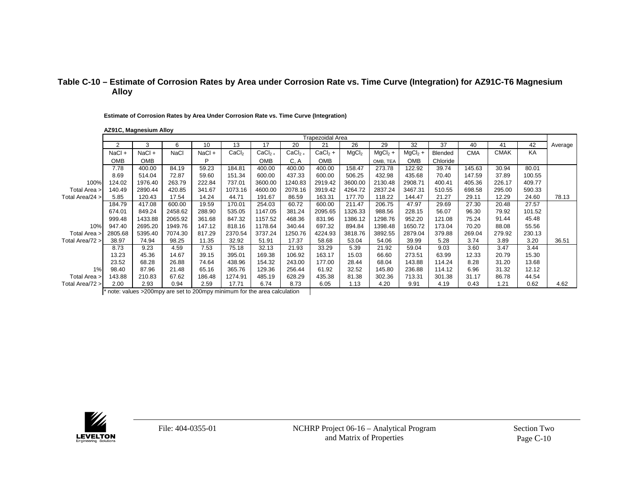### **Table C-10 – Estimate of Corrosion Rates by Area under Corrosion Rate vs. Time Curve (Integration) for AZ91C-T6 Magnesium Alloy**

**Estimate of Corrosion Rates by Area Under Corrosion Rate vs. Time Curve (Integration)**

|                 | ALJIV, MAYIICSIUIII AIIVY                                               |            |             |        |                   |            |             |           |                   |           |            |          |            |             |        |         |
|-----------------|-------------------------------------------------------------------------|------------|-------------|--------|-------------------|------------|-------------|-----------|-------------------|-----------|------------|----------|------------|-------------|--------|---------|
|                 | Trapezoidal Area                                                        |            |             |        |                   |            |             |           |                   |           |            |          |            |             |        |         |
|                 | 2                                                                       | 3          | 6           | 10     | 13                | 17         | 20          | 21        | 26                | 29        | 32         | 37       | 40         | 41          | 42     | Average |
|                 | $NaCl +$                                                                | NaCl +     | <b>NaCl</b> | NaCl+  | CaCl <sub>2</sub> | $CaCl2+$   | $CaCl_{2+}$ | $CaCl2 +$ | MgCl <sub>2</sub> | $MgCl2 +$ | $MgCl2 +$  | Blended  | <b>CMA</b> | <b>CMAK</b> | KA     |         |
|                 | <b>OMB</b>                                                              | <b>OMB</b> |             | Þ      |                   | <b>OMB</b> | C, A        | OMB       |                   | OMB, TEA  | <b>OMB</b> | Chloride |            |             |        |         |
|                 | 7.78                                                                    | 400.00     | 84.19       | 59.23  | 184.81            | 400.00     | 400.00      | 400.00    | 158.47            | 273.78    | 122.92     | 39.74    | 145.63     | 30.94       | 80.01  |         |
|                 | 8.69                                                                    | 514.04     | 72.87       | 59.60  | 151.34            | 600.00     | 437.33      | 600.00    | 506.25            | 432.98    | 435.68     | 70.40    | 147.59     | 37.89       | 100.55 |         |
| 100%            | 124.02                                                                  | 1976.40    | 263.79      | 222.84 | 737.01            | 3600.00    | 1240.83     | 2919.42   | 3600.00           | 2130.48   | 2908.71    | 400.41   | 405.36     | 226.17      | 409.77 |         |
| Total Area >    | 140.49                                                                  | 2890.44    | 420.85      | 341.67 | 1073.16           | 4600.00    | 2078.16     | 3919.42   | 4264.72           | 2837.24   | 3467.31    | 510.55   | 698.58     | 295.00      | 590.33 |         |
| Total Area/24 > | 5.85                                                                    | 120.43     | 17.54       | 14.24  | 44.71             | 191.67     | 86.59       | 163.31    | 177.70            | 118.22    | 144.47     | 21.27    | 29.11      | 12.29       | 24.60  | 78.13   |
|                 | 184.79                                                                  | 417.08     | 600.00      | 19.59  | 170.01            | 254.03     | 60.72       | 600.00    | 211.47            | 206.75    | 47.97      | 29.69    | 27.30      | 20.48       | 27.57  |         |
|                 | 674.01                                                                  | 849.24     | 2458.62     | 288.90 | 535.05            | 1147.05    | 381.24      | 2095.65   | 1326.33           | 988.56    | 228.15     | 56.07    | 96.30      | 79.92       | 101.52 |         |
|                 | 999.48                                                                  | 1433.88    | 2065.92     | 361.68 | 847.32            | 1157.52    | 468.36      | 831.96    | 1386.12           | 1298.76   | 952.20     | 121.08   | 75.24      | 91.44       | 45.48  |         |
| 10%             | 947.40                                                                  | 2695.20    | 1949.76     | 147.12 | 818.16            | 1178.64    | 340.44      | 697.32    | 894.84            | 1398.48   | 1650.72    | 173.04   | 70.20      | 88.08       | 55.56  |         |
| Total Area >    | 2805.68                                                                 | 5395.40    | 7074.30     | 817.29 | 2370.54           | 3737.24    | 1250.76     | 4224.93   | 3818.76           | 3892.55   | 2879.04    | 379.88   | 269.04     | 279.92      | 230.13 |         |
| Total Area/72 > | 38.97                                                                   | 74.94      | 98.25       | 11.35  | 32.92             | 51.91      | 17.37       | 58.68     | 53.04             | 54.06     | 39.99      | 5.28     | 3.74       | 3.89        | 3.20   | 36.51   |
|                 | 8.73                                                                    | 9.23       | 4.59        | 7.53   | 75.18             | 32.13      | 21.93       | 33.29     | 5.39              | 21.92     | 59.04      | 9.03     | 3.60       | 3.47        | 3.44   |         |
|                 | 13.23                                                                   | 45.36      | 14.67       | 39.15  | 395.01            | 169.38     | 106.92      | 163.17    | 15.03             | 66.60     | 273.51     | 63.99    | 12.33      | 20.79       | 15.30  |         |
|                 | 23.52                                                                   | 68.28      | 26.88       | 74.64  | 438.96            | 154.32     | 243.00      | 177.00    | 28.44             | 68.04     | 143.88     | 114.24   | 8.28       | 31.20       | 13.68  |         |
| 1%              | 98.40                                                                   | 87.96      | 21.48       | 65.16  | 365.76            | 129.36     | 256.44      | 61.92     | 32.52             | 145.80    | 236.88     | 114.12   | 6.96       | 31.32       | 12.12  |         |
| Total Area >    | 143.88                                                                  | 210.83     | 67.62       | 186.48 | 1274.91           | 485.19     | 628.29      | 435.38    | 81.38             | 302.36    | 713.31     | 301.38   | 31.17      | 86.78       | 44.54  |         |
| Total Area/72 > | 2.00                                                                    | 2.93       | 0.94        | 2.59   | 17.71             | 6.74       | 8.73        | 6.05      | 1.13              | 4.20      | 9.91       | 4.19     | 0.43       | 1.21        | 0.62   | 4.62    |
|                 | note: values >200mpy are set to 200mpy minimum for the area calculation |            |             |        |                   |            |             |           |                   |           |            |          |            |             |        |         |

**AZ91C, Magnesium Alloy**

\* note: values >200mpy are set to 200mpy minimum for the area calculation

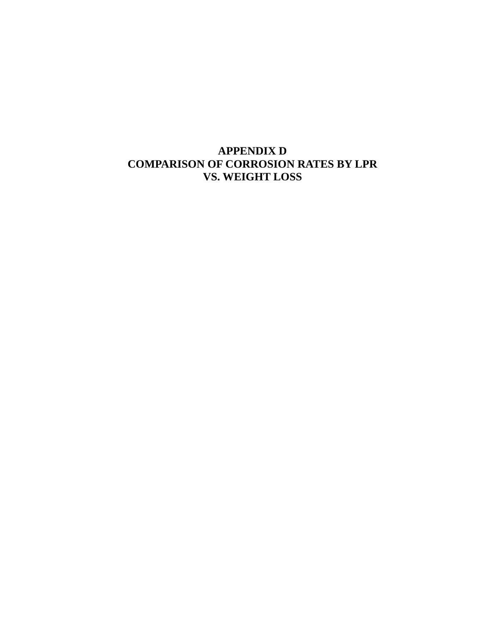# **APPENDIX D COMPARISON OF CORROSION RATES BY LPR VS. WEIGHT LOSS**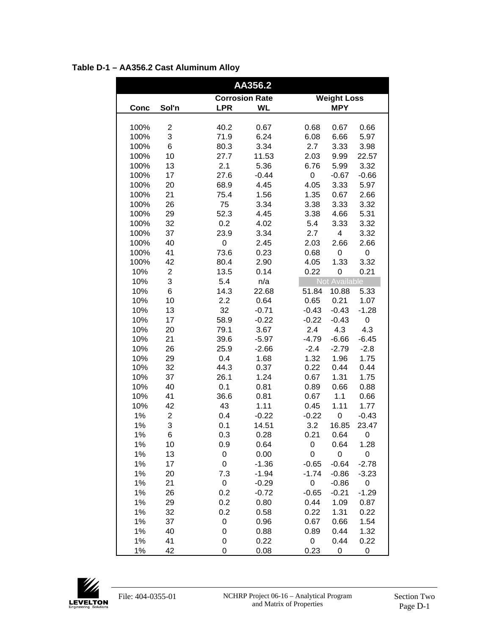# **Table D-1 – AA356.2 Cast Aluminum Alloy**

|       | AA356.2                 |             |                    |         |                         |         |  |
|-------|-------------------------|-------------|--------------------|---------|-------------------------|---------|--|
|       | <b>Corrosion Rate</b>   |             | <b>Weight Loss</b> |         |                         |         |  |
| Conc  | Sol'n                   | <b>LPR</b>  | <b>WL</b>          |         | <b>MPY</b>              |         |  |
|       |                         |             |                    |         |                         |         |  |
| 100%  | 2                       | 40.2        | 0.67               | 0.68    | 0.67                    | 0.66    |  |
| 100%  | 3                       | 71.9        | 6.24               | 6.08    | 6.66                    | 5.97    |  |
| 100%  | 6                       | 80.3        | 3.34               | 2.7     | 3.33                    | 3.98    |  |
| 100%  | 10                      | 27.7        | 11.53              | 2.03    | 9.99                    | 22.57   |  |
| 100%  | 13                      | 2.1         | 5.36               | 6.76    | 5.99                    | 3.32    |  |
| 100%  | 17                      | 27.6        | $-0.44$            | 0       | $-0.67$                 | $-0.66$ |  |
| 100%  | 20                      | 68.9        | 4.45               | 4.05    | 3.33                    | 5.97    |  |
| 100%  | 21                      | 75.4        | 1.56               | 1.35    | 0.67                    | 2.66    |  |
| 100%  | 26                      | 75          | 3.34               | 3.38    | 3.33                    | 3.32    |  |
| 100%  | 29                      | 52.3        | 4.45               | 3.38    | 4.66                    | 5.31    |  |
| 100%  | 32                      | 0.2         | 4.02               | 5.4     | 3.33                    | 3.32    |  |
| 100%  | 37                      | 23.9        | 3.34               | 2.7     | $\overline{\mathbf{4}}$ | 3.32    |  |
| 100%  | 40                      | $\mathbf 0$ | 2.45               | 2.03    | 2.66                    | 2.66    |  |
| 100%  | 41                      | 73.6        | 0.23               | 0.68    | 0                       | 0       |  |
| 100%  | 42                      | 80.4        | 2.90               | 4.05    | 1.33                    | 3.32    |  |
| 10%   | $\overline{2}$          | 13.5        | 0.14               | 0.22    | $\mathsf 0$             | 0.21    |  |
| 10%   | 3                       | 5.4         | n/a                |         | Not Available           |         |  |
| 10%   | 6                       | 14.3        | 22.68              | 51.84   | 10.88                   | 5.33    |  |
| 10%   | 10                      | 2.2         | 0.64               | 0.65    | 0.21                    | 1.07    |  |
| 10%   | 13                      | 32          | $-0.71$            | $-0.43$ | $-0.43$                 | $-1.28$ |  |
| 10%   | 17                      | 58.9        | $-0.22$            | $-0.22$ | $-0.43$                 | 0       |  |
| 10%   | 20                      | 79.1        | 3.67               | 2.4     | 4.3                     | 4.3     |  |
| 10%   | 21                      | 39.6        | $-5.97$            | $-4.79$ | $-6.66$                 | $-6.45$ |  |
| 10%   | 26                      | 25.9        | $-2.66$            | $-2.4$  | $-2.79$                 | $-2.8$  |  |
| 10%   | 29                      | 0.4         | 1.68               | 1.32    | 1.96                    | 1.75    |  |
| 10%   | 32                      | 44.3        | 0.37               | 0.22    | 0.44                    | 0.44    |  |
| 10%   | 37                      | 26.1        | 1.24               | 0.67    | 1.31                    | 1.75    |  |
| 10%   | 40                      | 0.1         | 0.81               | 0.89    | 0.66                    | 0.88    |  |
| 10%   | 41                      | 36.6        | 0.81               | 0.67    | 1.1                     | 0.66    |  |
| 10%   | 42                      | 43          | 1.11               | 0.45    | 1.11                    | 1.77    |  |
| 1%    | $\overline{\mathbf{c}}$ | 0.4         | $-0.22$            | $-0.22$ | $\mathbf 0$             | $-0.43$ |  |
| 1%    | 3                       | 0.1         | 14.51              | 3.2     | 16.85                   | 23.47   |  |
| $1\%$ | $\,6\,$                 | 0.3         | 0.28               | 0.21    | 0.64                    | 0       |  |
| $1\%$ | 10                      | 0.9         | 0.64               | 0       | 0.64                    | 1.28    |  |
| 1%    | 13                      | 0           | 0.00               | 0       | $\pmb{0}$               | 0       |  |
| 1%    | 17                      | 0           | $-1.36$            | $-0.65$ | $-0.64$                 | $-2.78$ |  |
| 1%    | 20                      | 7.3         | $-1.94$            | $-1.74$ | $-0.86$                 | $-3.23$ |  |
| 1%    | 21                      | 0           | $-0.29$            | 0       | $-0.86$                 | 0       |  |
| 1%    | 26                      | 0.2         | $-0.72$            | $-0.65$ | $-0.21$                 | $-1.29$ |  |
| 1%    | 29                      | 0.2         | 0.80               | 0.44    | 1.09                    | 0.87    |  |
| 1%    | 32                      | 0.2         | 0.58               | 0.22    | 1.31                    | 0.22    |  |
| 1%    | 37                      | 0           | 0.96               | 0.67    | 0.66                    | 1.54    |  |
| 1%    | 40                      | 0           | 0.88               | 0.89    | 0.44                    | 1.32    |  |
| 1%    | 41                      | 0           | 0.22               | 0       | 0.44                    | 0.22    |  |
| 1%    | 42                      | 0           | 0.08               | 0.23    | 0                       | 0       |  |

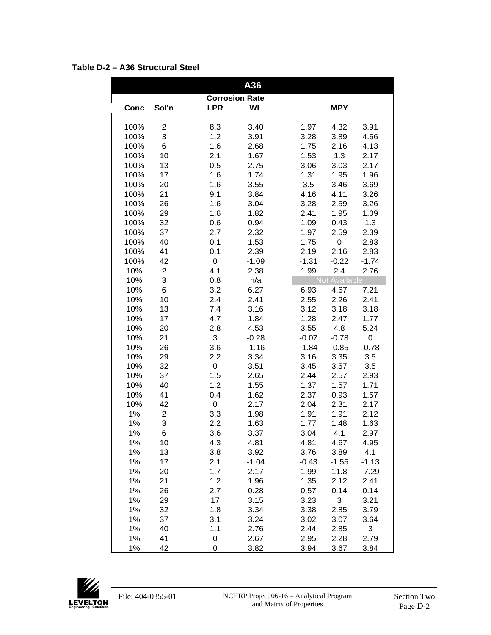## **Table D-2 – A36 Structural Steel**

|       |                |            | A36                   |                               |
|-------|----------------|------------|-----------------------|-------------------------------|
|       |                |            | <b>Corrosion Rate</b> |                               |
| Conc  | Sol'n          | <b>LPR</b> | <b>WL</b>             | <b>MPY</b>                    |
|       |                |            |                       |                               |
| 100%  | 2              | 8.3        | 3.40                  | 4.32<br>1.97<br>3.91          |
| 100%  | 3              | 1.2        | 3.91                  | 3.28<br>3.89<br>4.56          |
| 100%  | 6              | 1.6        | 2.68                  | 2.16<br>4.13<br>1.75          |
| 100%  | 10             | 2.1        | 1.67                  | 1.3<br>2.17<br>1.53           |
| 100%  | 13             | 0.5        | 2.75                  | 3.03<br>2.17<br>3.06          |
| 100%  | 17             | 1.6        | 1.74                  | 1.31<br>1.95<br>1.96          |
| 100%  | 20             | 1.6        | 3.55                  | 3.5<br>3.46<br>3.69           |
| 100%  | 21             | 9.1        | 3.84                  | 4.16<br>4.11<br>3.26          |
| 100%  | 26             | 1.6        | 3.04                  | 2.59<br>3.26<br>3.28          |
| 100%  | 29             | 1.6        | 1.82                  | 2.41<br>1.95<br>1.09          |
| 100%  | 32             | 0.6        | 0.94                  | 1.09<br>1.3<br>0.43           |
| 100%  | 37             | 2.7        | 2.32                  | 1.97<br>2.39<br>2.59          |
| 100%  | 40             | 0.1        | 1.53                  | $\mathbf 0$<br>1.75<br>2.83   |
| 100%  | 41             | 0.1        | 2.39                  | 2.16<br>2.83<br>2.19          |
| 100%  | 42             | $\pmb{0}$  | $-1.09$               | $-1.31$<br>$-0.22$<br>$-1.74$ |
| 10%   | $\overline{2}$ | 4.1        | 2.38                  | 2.4<br>1.99<br>2.76           |
| 10%   | 3              | 0.8        | n/a                   | Not Available                 |
| 10%   | 6              | 3.2        | 6.27                  | 6.93<br>4.67<br>7.21          |
| 10%   | 10             | 2.4        | 2.41                  | 2.41<br>2.55<br>2.26          |
| 10%   | 13             | 7.4        | 3.16                  | 3.12<br>3.18<br>3.18          |
| 10%   | 17             | 4.7        | 1.84                  | 1.28<br>2.47<br>1.77          |
| 10%   | 20             | 2.8        | 4.53                  | 4.8<br>5.24<br>3.55           |
| 10%   | 21             | 3          | $-0.28$               | 0<br>$-0.07$<br>$-0.78$       |
| 10%   | 26             | 3.6        | $-1.16$               | $-0.78$<br>$-1.84$<br>$-0.85$ |
| 10%   | 29             | 2.2        | 3.34                  | 3.16<br>3.35<br>3.5           |
| 10%   | 32             | 0          | 3.51                  | 3.5<br>3.45<br>3.57           |
| 10%   | 37             | 1.5        | 2.65                  | 2.44<br>2.57<br>2.93          |
| 10%   | 40             | 1.2        | 1.55                  | 1.37<br>1.57<br>1.71          |
| 10%   | 41             | 0.4        | 1.62                  | 2.37<br>0.93<br>1.57          |
| 10%   | 42             | $\pmb{0}$  | 2.17                  | 2.04<br>2.17<br>2.31          |
| 1%    | 2              | 3.3        | 1.98                  | 1.91<br>1.91<br>2.12          |
| 1%    | 3              | 2.2        | 1.63                  | 1.77<br>1.48<br>1.63          |
| 1%    | 6              |            |                       |                               |
|       |                | 3.6        | 3.37                  | 3.04<br>4.1<br>2.97           |
| 1%    | 10             | 4.3        | 4.81                  | 4.81<br>4.67<br>4.95          |
| 1%    | 13             | 3.8        | 3.92                  | 3.76<br>3.89<br>4.1           |
| 1%    | 17             | 2.1        | $-1.04$               | $-1.55$<br>$-1.13$<br>$-0.43$ |
| 1%    | 20             | 1.7        | 2.17                  | 1.99<br>11.8<br>$-7.29$       |
| 1%    | 21             | 1.2        | 1.96                  | 1.35<br>2.12<br>2.41          |
| 1%    | 26             | 2.7        | 0.28                  | 0.14<br>0.57<br>0.14          |
| 1%    | 29             | 17         | 3.15                  | 3<br>3.23<br>3.21             |
| 1%    | 32             | 1.8        | 3.34                  | 3.79<br>3.38<br>2.85          |
| 1%    | 37             | 3.1        | 3.24                  | 3.02<br>3.07<br>3.64          |
| 1%    | 40             | 1.1        | 2.76                  | 2.44<br>2.85<br>3             |
| 1%    | 41             | 0          | 2.67                  | 2.95<br>2.28<br>2.79          |
| $1\%$ | 42             | 0          | 3.82                  | 3.94<br>3.67<br>3.84          |

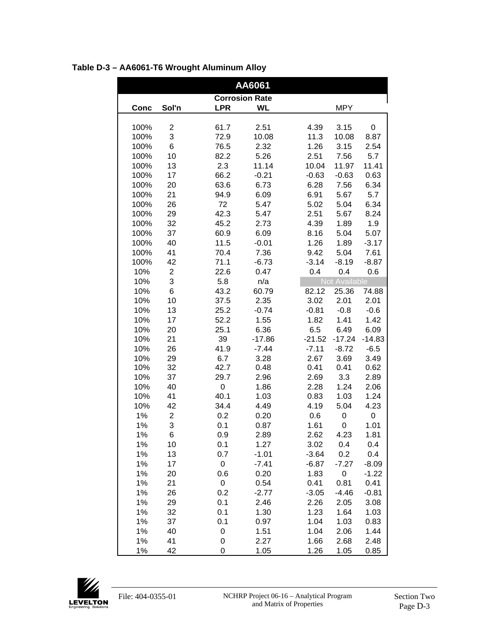|      |       |            | AA6061                |         |               |          |
|------|-------|------------|-----------------------|---------|---------------|----------|
|      |       |            | <b>Corrosion Rate</b> |         |               |          |
| Conc | Sol'n | <b>LPR</b> | <b>WL</b>             |         | <b>MPY</b>    |          |
|      |       |            |                       |         |               |          |
| 100% | 2     | 61.7       | 2.51                  | 4.39    | 3.15          | 0        |
| 100% | 3     | 72.9       | 10.08                 | 11.3    | 10.08         | 8.87     |
| 100% | 6     | 76.5       | 2.32                  | 1.26    | 3.15          | 2.54     |
| 100% | 10    | 82.2       | 5.26                  | 2.51    | 7.56          | 5.7      |
| 100% | 13    | 2.3        | 11.14                 | 10.04   | 11.97         | 11.41    |
| 100% | 17    | 66.2       | $-0.21$               | $-0.63$ | $-0.63$       | 0.63     |
| 100% | 20    | 63.6       | 6.73                  | 6.28    | 7.56          | 6.34     |
| 100% | 21    | 94.9       | 6.09                  | 6.91    | 5.67          | 5.7      |
| 100% | 26    | 72         | 5.47                  | 5.02    | 5.04          | 6.34     |
| 100% | 29    | 42.3       | 5.47                  | 2.51    | 5.67          | 8.24     |
| 100% | 32    | 45.2       | 2.73                  | 4.39    | 1.89          | 1.9      |
| 100% | 37    | 60.9       | 6.09                  | 8.16    | 5.04          | 5.07     |
| 100% | 40    | 11.5       | $-0.01$               | 1.26    | 1.89          | $-3.17$  |
| 100% | 41    | 70.4       | 7.36                  | 9.42    | 5.04          | 7.61     |
| 100% | 42    | 71.1       | $-6.73$               | $-3.14$ | $-8.19$       | $-8.87$  |
| 10%  | 2     | 22.6       | 0.47                  | 0.4     | 0.4           | 0.6      |
| 10%  | 3     | 5.8        | n/a                   |         | Not Available |          |
| 10%  | 6     | 43.2       | 60.79                 | 82.12   | 25.36         | 74.88    |
| 10%  | 10    | 37.5       | 2.35                  | 3.02    | 2.01          | 2.01     |
| 10%  | 13    | 25.2       | $-0.74$               | $-0.81$ | $-0.8$        | $-0.6$   |
| 10%  | 17    | 52.2       | 1.55                  | 1.82    | 1.41          | 1.42     |
| 10%  | 20    | 25.1       | 6.36                  | 6.5     | 6.49          | 6.09     |
| 10%  | 21    | 39         | $-17.86$              | -21.52  | $-17.24$      | $-14.83$ |
| 10%  | 26    | 41.9       | $-7.44$               | $-7.11$ | $-8.72$       | $-6.5$   |
| 10%  | 29    | 6.7        | 3.28                  | 2.67    | 3.69          | 3.49     |
| 10%  | 32    | 42.7       | 0.48                  | 0.41    | 0.41          | 0.62     |
| 10%  | 37    | 29.7       | 2.96                  | 2.69    | 3.3           | 2.89     |
| 10%  | 40    | 0          | 1.86                  | 2.28    | 1.24          | 2.06     |
| 10%  | 41    | 40.1       | 1.03                  | 0.83    | 1.03          | 1.24     |
| 10%  | 42    | 34.4       | 4.49                  | 4.19    | 5.04          | 4.23     |
| 1%   | 2     | 0.2        | 0.20                  | 0.6     | 0             | 0        |
| 1%   | 3     | 0.1        | 0.87                  | 1.61    | 0             | 1.01     |
| 1%   | 6     | 0.9        | 2.89                  | 2.62    | 4.23          | 1.81     |
| 1%   | 10    | 0.1        | 1.27                  | 3.02    | 0.4           | 0.4      |
| 1%   | 13    | 0.7        | $-1.01$               | $-3.64$ | 0.2           | 0.4      |
| 1%   | 17    | 0          | $-7.41$               | $-6.87$ | $-7.27$       | $-8.09$  |
| 1%   | 20    | 0.6        | 0.20                  | 1.83    | 0             | $-1.22$  |
| 1%   | 21    | 0          | 0.54                  | 0.41    | 0.81          | 0.41     |
| 1%   | 26    | 0.2        | $-2.77$               | $-3.05$ | $-4.46$       | $-0.81$  |
| 1%   | 29    | 0.1        | 2.46                  | 2.26    | 2.05          | 3.08     |
| 1%   | 32    | 0.1        | 1.30                  | 1.23    | 1.64          | 1.03     |
| 1%   | 37    | 0.1        | 0.97                  | 1.04    | 1.03          | 0.83     |
| 1%   | 40    | 0          | 1.51                  | 1.04    | 2.06          | 1.44     |
| 1%   | 41    | 0          | 2.27                  | 1.66    | 2.68          | 2.48     |
| 1%   | 42    | 0          | 1.05                  | 1.26    | 1.05          | 0.85     |

## **Table D-3 – AA6061-T6 Wrought Aluminum Alloy**

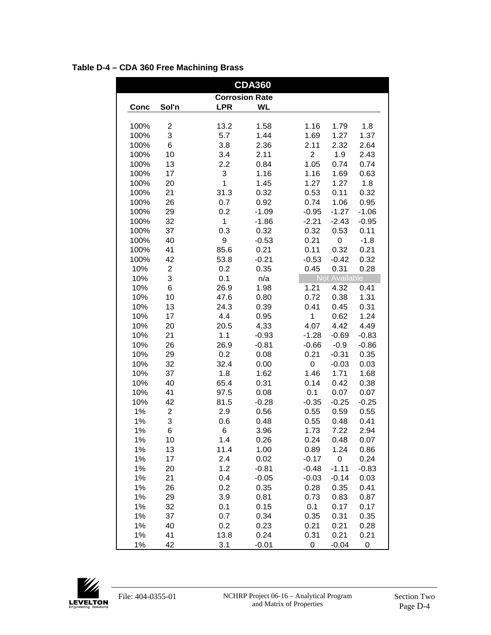# **Table D-4 – CDA 360 Free Machining Brass**

|       |                         |            | <b>CDA360</b>         |                  |             |           |
|-------|-------------------------|------------|-----------------------|------------------|-------------|-----------|
|       |                         |            | <b>Corrosion Rate</b> |                  |             |           |
| Conc  | Sol'n                   | <b>LPR</b> | <b>WL</b>             |                  |             |           |
|       |                         |            |                       |                  |             |           |
| 100%  | $\overline{c}$          | 13.2       | 1.58                  | 1.16             | 1.79        | 1.8       |
| 100%  | 3                       | 5.7        | 1.44                  | 1.69             | 1.27        | 1.37      |
| 100%  | 6                       | 3.8        | 2.36                  | 2.11             | 2.32        | 2.64      |
| 100%  | 10                      | 3.4        | 2.11                  | $\boldsymbol{2}$ | 1.9         | 2.43      |
| 100%  | 13                      | 2.2        | 0.84                  | 1.05             | 0.74        | 0.74      |
| 100%  | 17                      | 3          | 1.16                  | 1.16             | 1.69        | 0.63      |
| 100%  | 20                      | 1          | 1.45                  | 1.27             | 1.27        | 1.8       |
| 100%  | 21                      | 31.3       | 0.32                  | 0.53             | 0.11        | 0.32      |
| 100%  | 26                      | 0.7        | 0.92                  | 0.74             | 1.06        | 0.95      |
| 100%  | 29                      | 0.2        | $-1.09$               | $-0.95$          | $-1.27$     | $-1.06$   |
| 100%  | 32                      | 1          | $-1.86$               | $-2.21$          | $-2.43$     | $-0.95$   |
| 100%  | 37                      | 0.3        | 0.32                  | 0.32             | 0.53        | 0.11      |
| 100%  | 40                      | 9          | $-0.53$               | 0.21             | 0           | $-1.8$    |
| 100%  | 41                      | 85.6       | 0.21                  | 0.11             | 0.32        | 0.21      |
| 100%  | 42                      | 53.8       | $-0.21$               | $-0.53$          | $-0.42$     | 0.32      |
| 10%   | 2                       | 0.2        | 0.35                  | 0.45             | 0.31        | 0.28      |
| 10%   | 3                       | 0.1        | n/a                   |                  | Not Availab | le        |
| 10%   | 6                       | 26.9       | 1.98                  | 1.21             | 4.32        | 0.41      |
| 10%   | 10                      | 47.6       | 0.80                  | 0.72             | 0.38        | 1.31      |
| 10%   | 13                      | 24.3       | 0.39                  | 0.41             | 0.45        | 0.31      |
| 10%   | 17                      | 4.4        | 0.95                  | 1                | 0.62        | 1.24      |
| 10%   | 20                      | 20.5       | 4.33                  | 4.07             | 4.42        | 4.49      |
| 10%   | 21                      | 1.1        | $-0.93$               | $-1.28$          | $-0.69$     | $-0.83$   |
| 10%   | 26                      | 26.9       | $-0.81$               | $-0.66$          | $-0.9$      | $-0.86$   |
| 10%   | 29                      | 0.2        | 0.08                  | 0.21             | $-0.31$     | 0.35      |
| 10%   | 32                      | 32.4       | 0.00                  | 0                | $-0.03$     | 0.03      |
| 10%   | 37                      | 1.8        | 1.62                  | 1.46             | 1.71        | 1.68      |
| 10%   | 40                      | 65.4       | 0.31                  | 0.14             |             |           |
| 10%   | 41                      | 97.5       |                       |                  | 0.42        | 0.38      |
|       |                         | 81.5       | 0.08                  | 0.1              | 0.07        | 0.07      |
| 10%   | 42                      |            | $-0.28$               | $-0.35$          | $-0.25$     | $-0.25$   |
| 1%    | $\overline{\mathbf{c}}$ | 2.9        | 0.56                  | 0.55             | 0.59        | 0.55      |
| 1%    | 3                       | 0.6        | 0.48                  | 0.55             | 0.48        | 0.41      |
| 1%    | 6                       | 6          | 3.96                  | 1.73             | 7.22        | 2.94      |
| $1\%$ | 10                      | 1.4        | 0.26                  | 0.24             | 0.48        | 0.07      |
| $1\%$ | 13                      | 11.4       | 1.00                  | 0.89             | 1.24        | 0.86      |
| 1%    | 17                      | 2.4        | 0.02                  | $-0.17$          | 0           | 0.24      |
| 1%    | 20                      | 1.2        | $-0.81$               | $-0.48$          | $-1.11$     | $-0.83$   |
| 1%    | 21                      | 0.4        | $-0.05$               | $-0.03$          | $-0.14$     | 0.03      |
| 1%    | 26                      | 0.2        | 0.35                  | 0.28             | 0.35        | 0.41      |
| 1%    | 29                      | 3.9        | 0.81                  | 0.73             | 0.83        | 0.87      |
| $1\%$ | 32                      | 0.1        | 0.15                  | 0.1              | 0.17        | 0.17      |
| $1\%$ | 37                      | 0.7        | 0.34                  | 0.35             | 0.31        | 0.35      |
| 1%    | 40                      | 0.2        | 0.23                  | 0.21             | 0.21        | 0.28      |
| 1%    | 41                      | 13.8       | 0.24                  | 0.31             | 0.21        | 0.21      |
| $1\%$ | 42                      | 3.1        | $-0.01$               | 0                | $-0.04$     | $\pmb{0}$ |

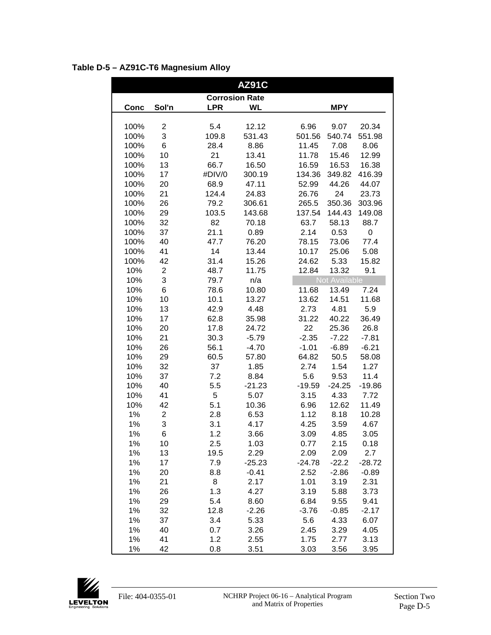# **Table D-5 – AZ91C-T6 Magnesium Alloy**

|       | <b>AZ91C</b>            |            |                       |                                  |  |  |  |  |
|-------|-------------------------|------------|-----------------------|----------------------------------|--|--|--|--|
|       |                         |            | <b>Corrosion Rate</b> |                                  |  |  |  |  |
| Conc  | Sol'n                   | <b>LPR</b> | WL                    | <b>MPY</b>                       |  |  |  |  |
|       |                         |            |                       |                                  |  |  |  |  |
| 100%  | $\overline{2}$          | 5.4        | 12.12                 | 9.07<br>6.96<br>20.34            |  |  |  |  |
| 100%  | 3                       | 109.8      | 531.43                | 501.56<br>540.74<br>551.98       |  |  |  |  |
| 100%  | 6                       | 28.4       | 8.86                  | 11.45<br>7.08<br>8.06            |  |  |  |  |
| 100%  | 10                      | 21         | 13.41                 | 11.78<br>15.46<br>12.99          |  |  |  |  |
| 100%  | 13                      | 66.7       | 16.50                 | 16.38<br>16.59<br>16.53          |  |  |  |  |
| 100%  | 17                      | #DIV/0     | 300.19                | 134.36<br>349.82<br>416.39       |  |  |  |  |
| 100%  | 20                      | 68.9       | 47.11                 | 52.99<br>44.26<br>44.07          |  |  |  |  |
| 100%  | 21                      | 124.4      | 24.83                 | 24<br>26.76<br>23.73             |  |  |  |  |
| 100%  | 26                      | 79.2       | 306.61                | 265.5<br>350.36<br>303.96        |  |  |  |  |
| 100%  | 29                      | 103.5      | 143.68                | 137.54<br>144.43<br>149.08       |  |  |  |  |
| 100%  | 32                      | 82         | 70.18                 | 63.7<br>58.13<br>88.7            |  |  |  |  |
| 100%  | 37                      | 21.1       | 0.89                  | 0<br>2.14<br>0.53                |  |  |  |  |
| 100%  | 40                      | 47.7       | 76.20                 | 78.15<br>73.06<br>77.4           |  |  |  |  |
| 100%  | 41                      | 14         | 13.44                 | 10.17<br>25.06<br>5.08           |  |  |  |  |
| 100%  | 42                      | 31.4       | 15.26                 | 24.62<br>5.33<br>15.82           |  |  |  |  |
| 10%   | $\overline{2}$          | 48.7       | 11.75                 | 13.32<br>12.84<br>9.1            |  |  |  |  |
| 10%   | 3                       | 79.7       | n/a                   | <b>Not Available</b>             |  |  |  |  |
| 10%   | 6                       | 78.6       | 10.80                 | 11.68<br>13.49<br>7.24           |  |  |  |  |
| 10%   | 10                      | 10.1       | 13.27                 | 13.62<br>14.51<br>11.68          |  |  |  |  |
| 10%   | 13                      | 42.9       | 4.48                  | 2.73<br>4.81<br>5.9              |  |  |  |  |
| 10%   | 17                      | 62.8       | 35.98                 | 31.22<br>36.49<br>40.22          |  |  |  |  |
| 10%   | 20                      | 17.8       | 24.72                 | 22<br>25.36<br>26.8              |  |  |  |  |
| 10%   | 21                      | 30.3       | $-5.79$               | $-2.35$<br>$-7.22$<br>$-7.81$    |  |  |  |  |
| 10%   | 26                      | 56.1       | $-4.70$               | $-1.01$<br>$-6.21$<br>$-6.89$    |  |  |  |  |
| 10%   | 29                      | 60.5       | 57.80                 | 50.5<br>64.82<br>58.08           |  |  |  |  |
| 10%   | 32                      | 37         | 1.85                  | 1.27<br>2.74<br>1.54             |  |  |  |  |
| 10%   | 37                      | 7.2        | 8.84                  | 5.6<br>9.53<br>11.4              |  |  |  |  |
| 10%   | 40                      | 5.5        | $-21.23$              | $-19.59$<br>$-24.25$<br>$-19.86$ |  |  |  |  |
| 10%   | 41                      | 5          | 5.07                  | 3.15<br>4.33<br>7.72             |  |  |  |  |
| 10%   | 42                      | 5.1        | 10.36                 | 12.62<br>11.49<br>6.96           |  |  |  |  |
| 1%    | $\overline{\mathbf{c}}$ | 2.8        | 6.53                  | 1.12<br>8.18<br>10.28            |  |  |  |  |
| 1%    | 3                       | 3.1        | 4.17                  | 4.25<br>3.59<br>4.67             |  |  |  |  |
| $1\%$ | $6\phantom{1}6$         | 1.2        | 3.66                  | 3.09<br>4.85<br>3.05             |  |  |  |  |
| 1%    | 10                      | 2.5        | 1.03                  | 2.15<br>0.77<br>0.18             |  |  |  |  |
| 1%    | 13                      | 19.5       | 2.29                  | 2.09<br>2.09<br>2.7              |  |  |  |  |
| 1%    | 17                      | 7.9        | $-25.23$              | $-24.78$<br>$-22.2$<br>$-28.72$  |  |  |  |  |
| 1%    | 20                      | 8.8        | $-0.41$               | 2.52<br>$-2.86$<br>$-0.89$       |  |  |  |  |
| 1%    | 21                      | 8          | 2.17                  | 1.01<br>2.31<br>3.19             |  |  |  |  |
| 1%    | 26                      | 1.3        | 4.27                  | 3.19<br>5.88<br>3.73             |  |  |  |  |
| 1%    | 29                      | 5.4        | 8.60                  | 9.55<br>6.84<br>9.41             |  |  |  |  |
| 1%    | 32                      | 12.8       | $-2.26$               | $-0.85$<br>$-2.17$<br>$-3.76$    |  |  |  |  |
| 1%    | 37                      | 3.4        | 5.33                  | 5.6<br>4.33<br>6.07              |  |  |  |  |
| 1%    | 40                      | 0.7        | 3.26                  | 2.45<br>3.29<br>4.05             |  |  |  |  |
| 1%    | 41                      | 1.2        | 2.55                  | 1.75<br>2.77<br>3.13             |  |  |  |  |
| 1%    | 42                      | 0.8        | 3.51                  | 3.03<br>3.56<br>3.95             |  |  |  |  |